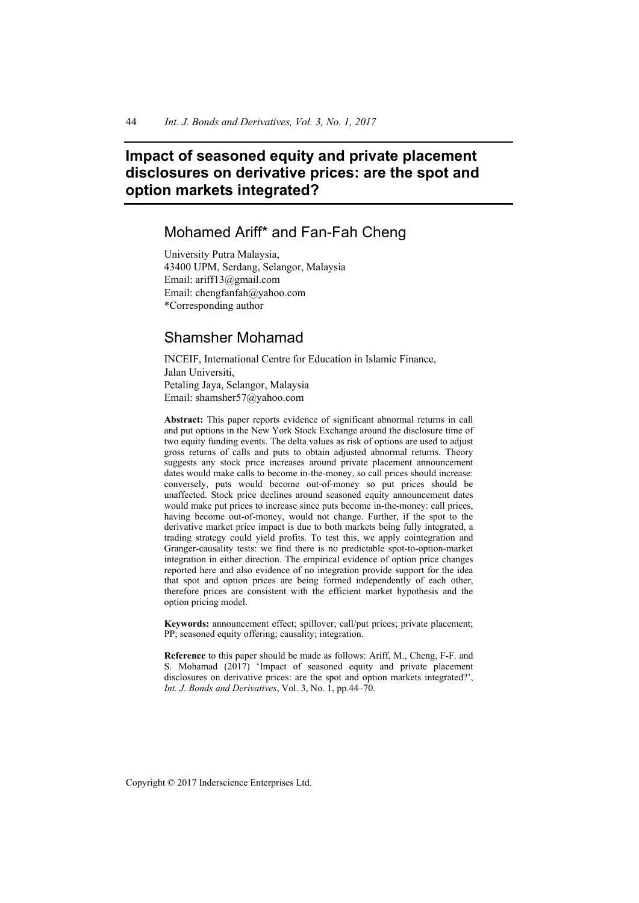# **Impact of seasoned equity and private placement disclosures on derivative prices: are the spot and option markets integrated?**

## Mohamed Ariff\* and Fan-Fah Cheng

University Putra Malaysia, 43400 UPM, Serdang, Selangor, Malaysia Email: ariff13@gmail.com Email: chengfanfah@yahoo.com \*Corresponding author

## Shamsher Mohamad

INCEIF, International Centre for Education in Islamic Finance, Jalan Universiti, Petaling Jaya, Selangor, Malaysia Email: shamsher57@yahoo.com

**Abstract:** This paper reports evidence of significant abnormal returns in call and put options in the New York Stock Exchange around the disclosure time of two equity funding events. The delta values as risk of options are used to adjust gross returns of calls and puts to obtain adjusted abnormal returns. Theory suggests any stock price increases around private placement announcement dates would make calls to become in-the-money, so call prices should increase: conversely, puts would become out-of-money so put prices should be unaffected. Stock price declines around seasoned equity announcement dates would make put prices to increase since puts become in-the-money: call prices, having become out-of-money, would not change. Further, if the spot to the derivative market price impact is due to both markets being fully integrated, a trading strategy could yield profits. To test this, we apply cointegration and Granger-causality tests: we find there is no predictable spot-to-option-market integration in either direction. The empirical evidence of option price changes reported here and also evidence of no integration provide support for the idea that spot and option prices are being formed independently of each other, therefore prices are consistent with the efficient market hypothesis and the option pricing model.

**Keywords:** announcement effect; spillover; call/put prices; private placement; PP; seasoned equity offering; causality; integration.

**Reference** to this paper should be made as follows: Ariff, M., Cheng, F-F. and S. Mohamad (2017) 'Impact of seasoned equity and private placement disclosures on derivative prices: are the spot and option markets integrated?', *Int. J. Bonds and Derivatives*, Vol. 3, No. 1, pp.44–70.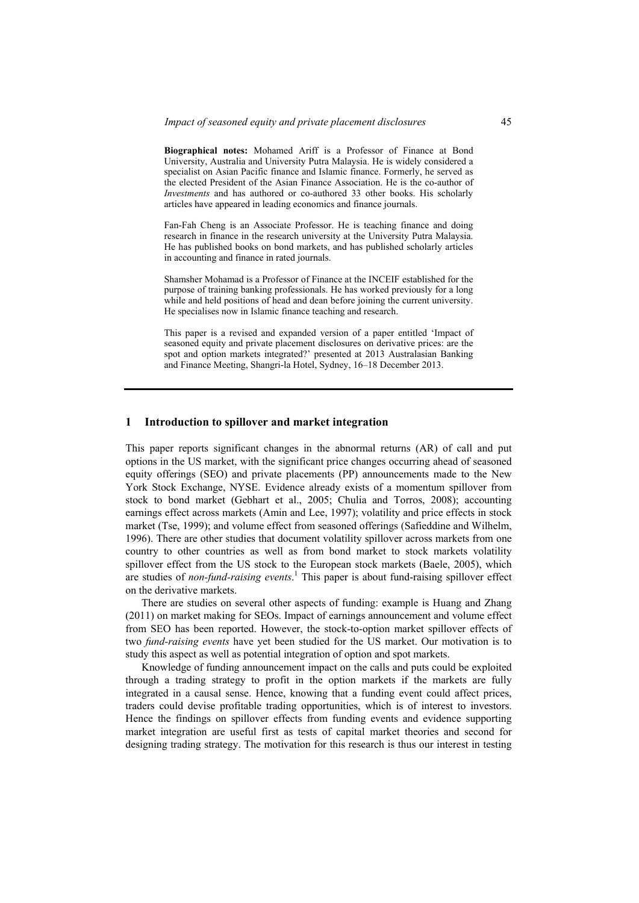**Biographical notes:** Mohamed Ariff is a Professor of Finance at Bond University, Australia and University Putra Malaysia. He is widely considered a specialist on Asian Pacific finance and Islamic finance. Formerly, he served as the elected President of the Asian Finance Association. He is the co-author of *Investments* and has authored or co-authored 33 other books. His scholarly articles have appeared in leading economics and finance journals.

Fan-Fah Cheng is an Associate Professor. He is teaching finance and doing research in finance in the research university at the University Putra Malaysia. He has published books on bond markets, and has published scholarly articles in accounting and finance in rated journals.

Shamsher Mohamad is a Professor of Finance at the INCEIF established for the purpose of training banking professionals. He has worked previously for a long while and held positions of head and dean before joining the current university. He specialises now in Islamic finance teaching and research.

This paper is a revised and expanded version of a paper entitled 'Impact of seasoned equity and private placement disclosures on derivative prices: are the spot and option markets integrated?' presented at 2013 Australasian Banking and Finance Meeting, Shangri-la Hotel, Sydney, 16–18 December 2013.

#### **1 Introduction to spillover and market integration**

This paper reports significant changes in the abnormal returns (AR) of call and put options in the US market, with the significant price changes occurring ahead of seasoned equity offerings (SEO) and private placements (PP) announcements made to the New York Stock Exchange, NYSE. Evidence already exists of a momentum spillover from stock to bond market (Gebhart et al., 2005; Chulia and Torros, 2008); accounting earnings effect across markets (Amin and Lee, 1997); volatility and price effects in stock market (Tse, 1999); and volume effect from seasoned offerings (Safieddine and Wilhelm, 1996). There are other studies that document volatility spillover across markets from one country to other countries as well as from bond market to stock markets volatility spillover effect from the US stock to the European stock markets (Baele, 2005), which are studies of *non-fund-raising events*. 1 This paper is about fund-raising spillover effect on the derivative markets.

There are studies on several other aspects of funding: example is Huang and Zhang (2011) on market making for SEOs. Impact of earnings announcement and volume effect from SEO has been reported. However, the stock-to-option market spillover effects of two *fund-raising events* have yet been studied for the US market. Our motivation is to study this aspect as well as potential integration of option and spot markets.

Knowledge of funding announcement impact on the calls and puts could be exploited through a trading strategy to profit in the option markets if the markets are fully integrated in a causal sense. Hence, knowing that a funding event could affect prices, traders could devise profitable trading opportunities, which is of interest to investors. Hence the findings on spillover effects from funding events and evidence supporting market integration are useful first as tests of capital market theories and second for designing trading strategy. The motivation for this research is thus our interest in testing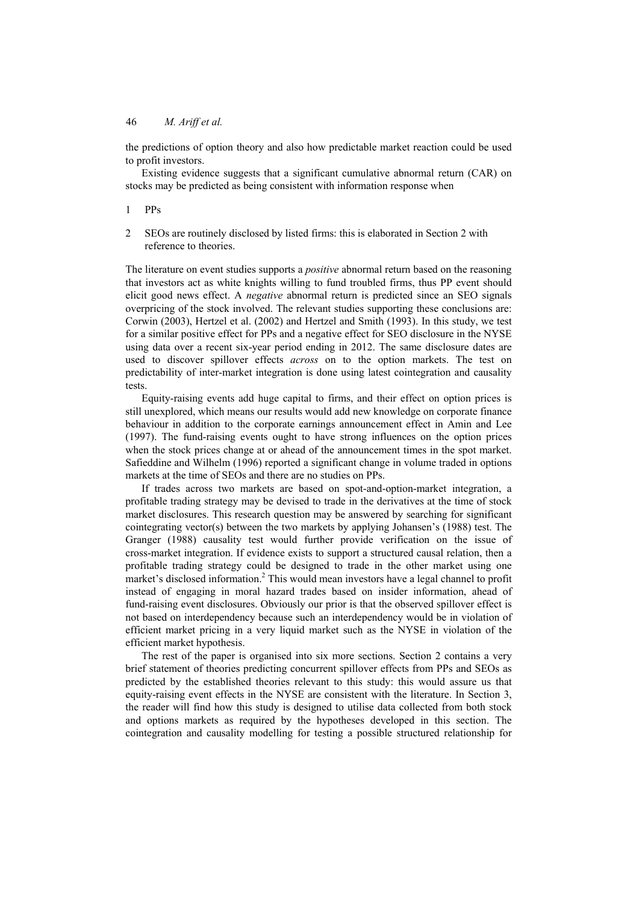the predictions of option theory and also how predictable market reaction could be used to profit investors.

Existing evidence suggests that a significant cumulative abnormal return (CAR) on stocks may be predicted as being consistent with information response when

- 1 PPs
- 2 SEOs are routinely disclosed by listed firms: this is elaborated in Section 2 with reference to theories.

The literature on event studies supports a *positive* abnormal return based on the reasoning that investors act as white knights willing to fund troubled firms, thus PP event should elicit good news effect. A *negative* abnormal return is predicted since an SEO signals overpricing of the stock involved. The relevant studies supporting these conclusions are: Corwin (2003), Hertzel et al. (2002) and Hertzel and Smith (1993). In this study, we test for a similar positive effect for PPs and a negative effect for SEO disclosure in the NYSE using data over a recent six-year period ending in 2012. The same disclosure dates are used to discover spillover effects *across* on to the option markets. The test on predictability of inter-market integration is done using latest cointegration and causality tests.

Equity-raising events add huge capital to firms, and their effect on option prices is still unexplored, which means our results would add new knowledge on corporate finance behaviour in addition to the corporate earnings announcement effect in Amin and Lee (1997). The fund-raising events ought to have strong influences on the option prices when the stock prices change at or ahead of the announcement times in the spot market. Safieddine and Wilhelm (1996) reported a significant change in volume traded in options markets at the time of SEOs and there are no studies on PPs.

If trades across two markets are based on spot-and-option-market integration, a profitable trading strategy may be devised to trade in the derivatives at the time of stock market disclosures. This research question may be answered by searching for significant cointegrating vector(s) between the two markets by applying Johansen's (1988) test. The Granger (1988) causality test would further provide verification on the issue of cross-market integration. If evidence exists to support a structured causal relation, then a profitable trading strategy could be designed to trade in the other market using one market's disclosed information.<sup>2</sup> This would mean investors have a legal channel to profit instead of engaging in moral hazard trades based on insider information, ahead of fund-raising event disclosures. Obviously our prior is that the observed spillover effect is not based on interdependency because such an interdependency would be in violation of efficient market pricing in a very liquid market such as the NYSE in violation of the efficient market hypothesis.

The rest of the paper is organised into six more sections. Section 2 contains a very brief statement of theories predicting concurrent spillover effects from PPs and SEOs as predicted by the established theories relevant to this study: this would assure us that equity-raising event effects in the NYSE are consistent with the literature. In Section 3, the reader will find how this study is designed to utilise data collected from both stock and options markets as required by the hypotheses developed in this section. The cointegration and causality modelling for testing a possible structured relationship for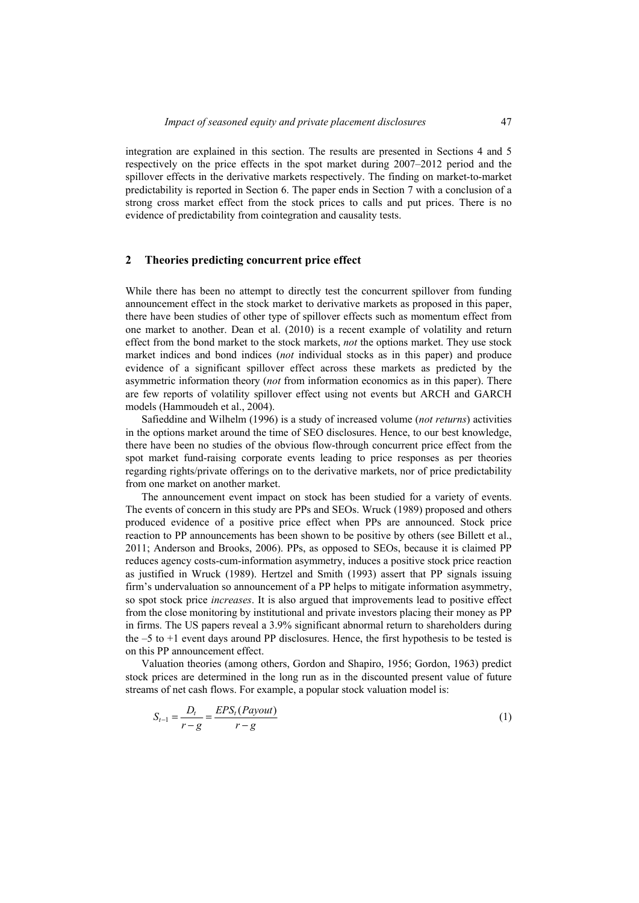integration are explained in this section. The results are presented in Sections 4 and 5 respectively on the price effects in the spot market during 2007–2012 period and the spillover effects in the derivative markets respectively. The finding on market-to-market predictability is reported in Section 6. The paper ends in Section 7 with a conclusion of a strong cross market effect from the stock prices to calls and put prices. There is no evidence of predictability from cointegration and causality tests.

#### **2 Theories predicting concurrent price effect**

While there has been no attempt to directly test the concurrent spillover from funding announcement effect in the stock market to derivative markets as proposed in this paper, there have been studies of other type of spillover effects such as momentum effect from one market to another. Dean et al. (2010) is a recent example of volatility and return effect from the bond market to the stock markets, *not* the options market. They use stock market indices and bond indices (*not* individual stocks as in this paper) and produce evidence of a significant spillover effect across these markets as predicted by the asymmetric information theory (*not* from information economics as in this paper). There are few reports of volatility spillover effect using not events but ARCH and GARCH models (Hammoudeh et al., 2004).

Safieddine and Wilhelm (1996) is a study of increased volume (*not returns*) activities in the options market around the time of SEO disclosures. Hence, to our best knowledge, there have been no studies of the obvious flow-through concurrent price effect from the spot market fund-raising corporate events leading to price responses as per theories regarding rights/private offerings on to the derivative markets, nor of price predictability from one market on another market.

The announcement event impact on stock has been studied for a variety of events. The events of concern in this study are PPs and SEOs. Wruck (1989) proposed and others produced evidence of a positive price effect when PPs are announced. Stock price reaction to PP announcements has been shown to be positive by others (see Billett et al., 2011; Anderson and Brooks, 2006). PPs, as opposed to SEOs, because it is claimed PP reduces agency costs-cum-information asymmetry, induces a positive stock price reaction as justified in Wruck (1989). Hertzel and Smith (1993) assert that PP signals issuing firm's undervaluation so announcement of a PP helps to mitigate information asymmetry, so spot stock price *increases*. It is also argued that improvements lead to positive effect from the close monitoring by institutional and private investors placing their money as PP in firms. The US papers reveal a 3.9% significant abnormal return to shareholders during the  $-5$  to  $+1$  event days around PP disclosures. Hence, the first hypothesis to be tested is on this PP announcement effect.

Valuation theories (among others, Gordon and Shapiro, 1956; Gordon, 1963) predict stock prices are determined in the long run as in the discounted present value of future streams of net cash flows. For example, a popular stock valuation model is:

$$
S_{t-1} = \frac{D_t}{r - g} = \frac{EPS_t(Payout)}{r - g} \tag{1}
$$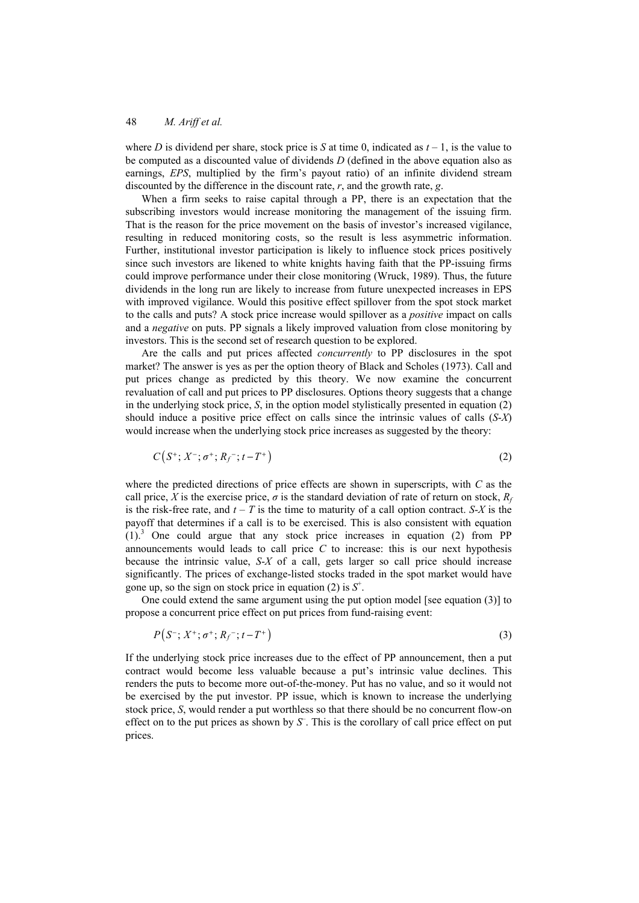where *D* is dividend per share, stock price is *S* at time 0, indicated as  $t - 1$ , is the value to be computed as a discounted value of dividends *D* (defined in the above equation also as earnings, *EPS*, multiplied by the firm's payout ratio) of an infinite dividend stream discounted by the difference in the discount rate, *r*, and the growth rate, *g*.

When a firm seeks to raise capital through a PP, there is an expectation that the subscribing investors would increase monitoring the management of the issuing firm. That is the reason for the price movement on the basis of investor's increased vigilance, resulting in reduced monitoring costs, so the result is less asymmetric information. Further, institutional investor participation is likely to influence stock prices positively since such investors are likened to white knights having faith that the PP-issuing firms could improve performance under their close monitoring (Wruck, 1989). Thus, the future dividends in the long run are likely to increase from future unexpected increases in EPS with improved vigilance. Would this positive effect spillover from the spot stock market to the calls and puts? A stock price increase would spillover as a *positive* impact on calls and a *negative* on puts. PP signals a likely improved valuation from close monitoring by investors. This is the second set of research question to be explored.

Are the calls and put prices affected *concurrently* to PP disclosures in the spot market? The answer is yes as per the option theory of Black and Scholes (1973). Call and put prices change as predicted by this theory. We now examine the concurrent revaluation of call and put prices to PP disclosures. Options theory suggests that a change in the underlying stock price, *S*, in the option model stylistically presented in equation (2) should induce a positive price effect on calls since the intrinsic values of calls (*S*-*X*) would increase when the underlying stock price increases as suggested by the theory:

$$
C(S^+; X^-; \sigma^+; R_f^-; t - T^+) \tag{2}
$$

where the predicted directions of price effects are shown in superscripts, with *C* as the call price, *X* is the exercise price,  $\sigma$  is the standard deviation of rate of return on stock,  $R_f$ is the risk-free rate, and  $t - T$  is the time to maturity of a call option contract. *S-X* is the payoff that determines if a call is to be exercised. This is also consistent with equation  $(1)$ .<sup>3</sup> One could argue that any stock price increases in equation (2) from PP announcements would leads to call price *C* to increase: this is our next hypothesis because the intrinsic value, *S*-*X* of a call, gets larger so call price should increase significantly. The prices of exchange-listed stocks traded in the spot market would have gone up, so the sign on stock price in equation  $(2)$  is  $S^+$ .

One could extend the same argument using the put option model [see equation (3)] to propose a concurrent price effect on put prices from fund-raising event:

$$
P(S^{-}; X^{+}; \sigma^{+}; R_{f}^{-}; t - T^{+})
$$
\n(3)

If the underlying stock price increases due to the effect of PP announcement, then a put contract would become less valuable because a put's intrinsic value declines. This renders the puts to become more out-of-the-money. Put has no value, and so it would not be exercised by the put investor. PP issue, which is known to increase the underlying stock price, *S*, would render a put worthless so that there should be no concurrent flow-on effect on to the put prices as shown by  $S<sup>-</sup>$ . This is the corollary of call price effect on put prices.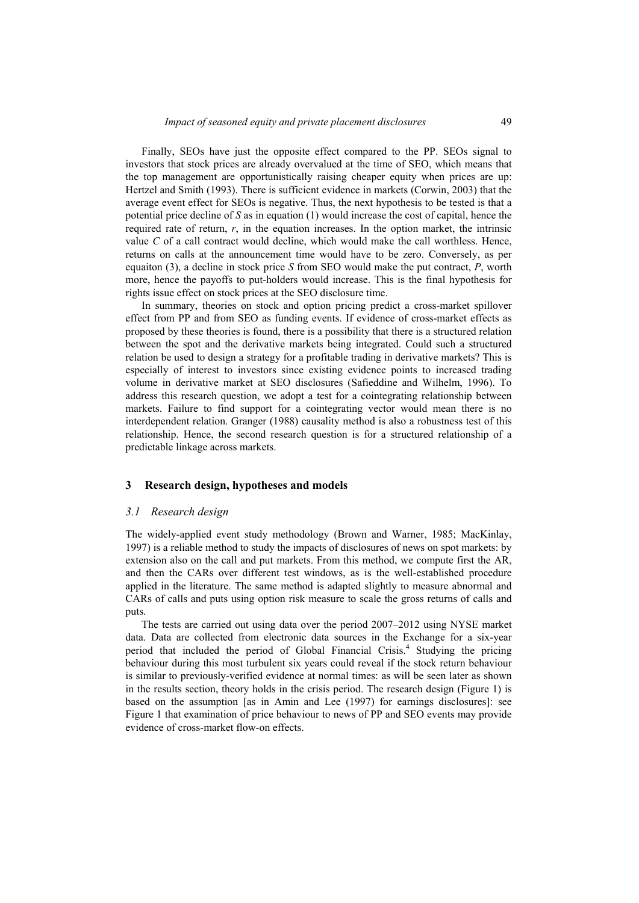Finally, SEOs have just the opposite effect compared to the PP. SEOs signal to investors that stock prices are already overvalued at the time of SEO, which means that the top management are opportunistically raising cheaper equity when prices are up: Hertzel and Smith (1993). There is sufficient evidence in markets (Corwin, 2003) that the average event effect for SEOs is negative. Thus, the next hypothesis to be tested is that a potential price decline of *S* as in equation (1) would increase the cost of capital, hence the required rate of return, *r*, in the equation increases. In the option market, the intrinsic value *C* of a call contract would decline, which would make the call worthless. Hence, returns on calls at the announcement time would have to be zero. Conversely, as per equaiton (3), a decline in stock price *S* from SEO would make the put contract, *P*, worth more, hence the payoffs to put-holders would increase. This is the final hypothesis for rights issue effect on stock prices at the SEO disclosure time.

In summary, theories on stock and option pricing predict a cross-market spillover effect from PP and from SEO as funding events. If evidence of cross-market effects as proposed by these theories is found, there is a possibility that there is a structured relation between the spot and the derivative markets being integrated. Could such a structured relation be used to design a strategy for a profitable trading in derivative markets? This is especially of interest to investors since existing evidence points to increased trading volume in derivative market at SEO disclosures (Safieddine and Wilhelm, 1996). To address this research question, we adopt a test for a cointegrating relationship between markets. Failure to find support for a cointegrating vector would mean there is no interdependent relation. Granger (1988) causality method is also a robustness test of this relationship. Hence, the second research question is for a structured relationship of a predictable linkage across markets.

#### **3 Research design, hypotheses and models**

#### *3.1 Research design*

The widely-applied event study methodology (Brown and Warner, 1985; MacKinlay, 1997) is a reliable method to study the impacts of disclosures of news on spot markets: by extension also on the call and put markets. From this method, we compute first the AR, and then the CARs over different test windows, as is the well-established procedure applied in the literature. The same method is adapted slightly to measure abnormal and CARs of calls and puts using option risk measure to scale the gross returns of calls and puts.

The tests are carried out using data over the period 2007–2012 using NYSE market data. Data are collected from electronic data sources in the Exchange for a six-year period that included the period of Global Financial Crisis.<sup>4</sup> Studying the pricing behaviour during this most turbulent six years could reveal if the stock return behaviour is similar to previously-verified evidence at normal times: as will be seen later as shown in the results section, theory holds in the crisis period. The research design (Figure 1) is based on the assumption [as in Amin and Lee (1997) for earnings disclosures]: see Figure 1 that examination of price behaviour to news of PP and SEO events may provide evidence of cross-market flow-on effects.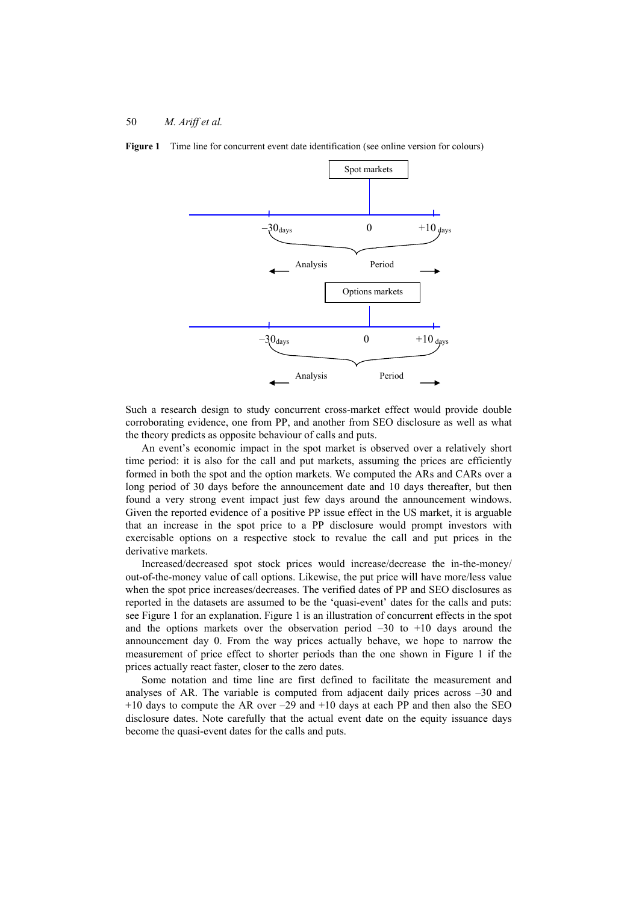

Figure 1 Time line for concurrent event date identification (see online version for colours)

Such a research design to study concurrent cross-market effect would provide double corroborating evidence, one from PP, and another from SEO disclosure as well as what the theory predicts as opposite behaviour of calls and puts.

An event's economic impact in the spot market is observed over a relatively short time period: it is also for the call and put markets, assuming the prices are efficiently formed in both the spot and the option markets. We computed the ARs and CARs over a long period of 30 days before the announcement date and 10 days thereafter, but then found a very strong event impact just few days around the announcement windows. Given the reported evidence of a positive PP issue effect in the US market, it is arguable that an increase in the spot price to a PP disclosure would prompt investors with exercisable options on a respective stock to revalue the call and put prices in the derivative markets.

Increased/decreased spot stock prices would increase/decrease the in-the-money/ out-of-the-money value of call options. Likewise, the put price will have more/less value when the spot price increases/decreases. The verified dates of PP and SEO disclosures as reported in the datasets are assumed to be the 'quasi-event' dates for the calls and puts: see Figure 1 for an explanation. Figure 1 is an illustration of concurrent effects in the spot and the options markets over the observation period  $-30$  to  $+10$  days around the announcement day 0. From the way prices actually behave, we hope to narrow the measurement of price effect to shorter periods than the one shown in Figure 1 if the prices actually react faster, closer to the zero dates.

Some notation and time line are first defined to facilitate the measurement and analyses of AR. The variable is computed from adjacent daily prices across –30 and  $+10$  days to compute the AR over  $-29$  and  $+10$  days at each PP and then also the SEO disclosure dates. Note carefully that the actual event date on the equity issuance days become the quasi-event dates for the calls and puts.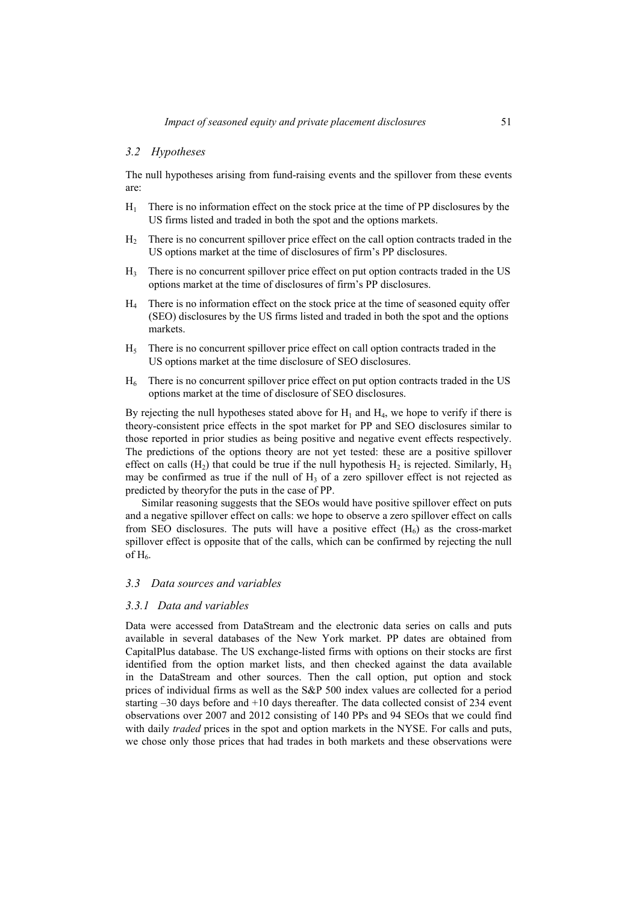#### *3.2 Hypotheses*

The null hypotheses arising from fund-raising events and the spillover from these events are:

- $H<sub>1</sub>$  There is no information effect on the stock price at the time of PP disclosures by the US firms listed and traded in both the spot and the options markets.
- $H<sub>2</sub>$  There is no concurrent spillover price effect on the call option contracts traded in the US options market at the time of disclosures of firm's PP disclosures.
- H3 There is no concurrent spillover price effect on put option contracts traded in the US options market at the time of disclosures of firm's PP disclosures.
- H4 There is no information effect on the stock price at the time of seasoned equity offer (SEO) disclosures by the US firms listed and traded in both the spot and the options markets.
- $H<sub>5</sub>$  There is no concurrent spillover price effect on call option contracts traded in the US options market at the time disclosure of SEO disclosures.
- $H<sub>6</sub>$  There is no concurrent spillover price effect on put option contracts traded in the US options market at the time of disclosure of SEO disclosures.

By rejecting the null hypotheses stated above for  $H_1$  and  $H_4$ , we hope to verify if there is theory-consistent price effects in the spot market for PP and SEO disclosures similar to those reported in prior studies as being positive and negative event effects respectively. The predictions of the options theory are not yet tested: these are a positive spillover effect on calls (H<sub>2</sub>) that could be true if the null hypothesis  $H_2$  is rejected. Similarly,  $H_3$ may be confirmed as true if the null of  $H_3$  of a zero spillover effect is not rejected as predicted by theoryfor the puts in the case of PP.

Similar reasoning suggests that the SEOs would have positive spillover effect on puts and a negative spillover effect on calls: we hope to observe a zero spillover effect on calls from SEO disclosures. The puts will have a positive effect  $(H_6)$  as the cross-market spillover effect is opposite that of the calls, which can be confirmed by rejecting the null of  $H_6$ .

#### *3.3 Data sources and variables*

#### *3.3.1 Data and variables*

Data were accessed from DataStream and the electronic data series on calls and puts available in several databases of the New York market. PP dates are obtained from CapitalPlus database. The US exchange-listed firms with options on their stocks are first identified from the option market lists, and then checked against the data available in the DataStream and other sources. Then the call option, put option and stock prices of individual firms as well as the S&P 500 index values are collected for a period starting –30 days before and +10 days thereafter. The data collected consist of 234 event observations over 2007 and 2012 consisting of 140 PPs and 94 SEOs that we could find with daily *traded* prices in the spot and option markets in the NYSE. For calls and puts, we chose only those prices that had trades in both markets and these observations were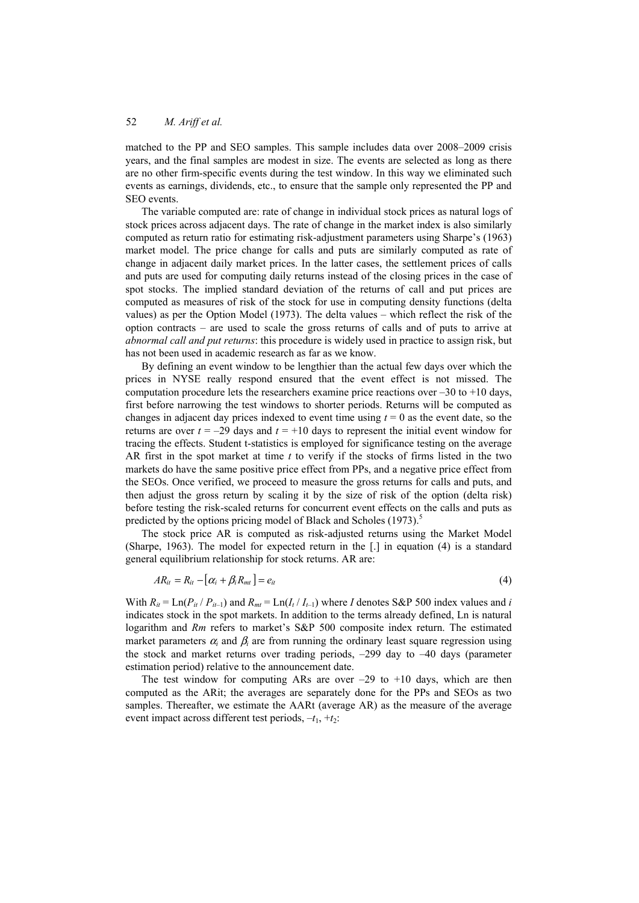matched to the PP and SEO samples. This sample includes data over 2008–2009 crisis years, and the final samples are modest in size. The events are selected as long as there are no other firm-specific events during the test window. In this way we eliminated such events as earnings, dividends, etc., to ensure that the sample only represented the PP and SEO events.

The variable computed are: rate of change in individual stock prices as natural logs of stock prices across adjacent days. The rate of change in the market index is also similarly computed as return ratio for estimating risk-adjustment parameters using Sharpe's (1963) market model. The price change for calls and puts are similarly computed as rate of change in adjacent daily market prices. In the latter cases, the settlement prices of calls and puts are used for computing daily returns instead of the closing prices in the case of spot stocks. The implied standard deviation of the returns of call and put prices are computed as measures of risk of the stock for use in computing density functions (delta values) as per the Option Model (1973). The delta values – which reflect the risk of the option contracts – are used to scale the gross returns of calls and of puts to arrive at *abnormal call and put returns*: this procedure is widely used in practice to assign risk, but has not been used in academic research as far as we know.

By defining an event window to be lengthier than the actual few days over which the prices in NYSE really respond ensured that the event effect is not missed. The computation procedure lets the researchers examine price reactions over  $-30$  to  $+10$  days, first before narrowing the test windows to shorter periods. Returns will be computed as changes in adjacent day prices indexed to event time using  $t = 0$  as the event date, so the returns are over  $t = -29$  days and  $t = +10$  days to represent the initial event window for tracing the effects. Student t-statistics is employed for significance testing on the average AR first in the spot market at time *t* to verify if the stocks of firms listed in the two markets do have the same positive price effect from PPs, and a negative price effect from the SEOs. Once verified, we proceed to measure the gross returns for calls and puts, and then adjust the gross return by scaling it by the size of risk of the option (delta risk) before testing the risk-scaled returns for concurrent event effects on the calls and puts as predicted by the options pricing model of Black and Scholes (1973).<sup>5</sup>

The stock price AR is computed as risk-adjusted returns using the Market Model (Sharpe, 1963). The model for expected return in the [.] in equation (4) is a standard general equilibrium relationship for stock returns. AR are:

$$
AR_{it} = R_{it} - [\alpha_i + \beta_i R_{mt}] = e_{it} \tag{4}
$$

With  $R_{it} = \text{Ln}(P_{it} / P_{it-1})$  and  $R_{mt} = \text{Ln}(I_t / I_{t-1})$  where *I* denotes S&P 500 index values and *i* indicates stock in the spot markets. In addition to the terms already defined, Ln is natural logarithm and *Rm* refers to market's S&P 500 composite index return. The estimated market parameters  $\alpha_i$  and  $\beta_i$  are from running the ordinary least square regression using the stock and market returns over trading periods, –299 day to –40 days (parameter estimation period) relative to the announcement date.

The test window for computing ARs are over  $-29$  to  $+10$  days, which are then computed as the ARit; the averages are separately done for the PPs and SEOs as two samples. Thereafter, we estimate the AARt (average AR) as the measure of the average event impact across different test periods,  $-t_1$ ,  $+t_2$ :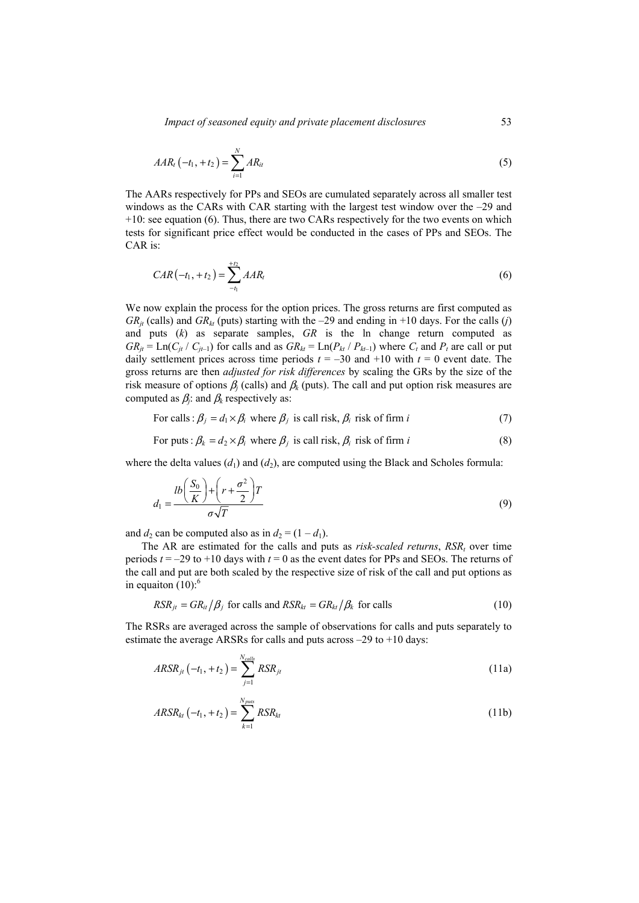*Impact of seasoned equity and private placement disclosures* 53

$$
AAR_{t}\left(-t_{1},+t_{2}\right)=\sum_{i=1}^{N}AR_{it}\tag{5}
$$

The AARs respectively for PPs and SEOs are cumulated separately across all smaller test windows as the CARs with CAR starting with the largest test window over the –29 and +10: see equation (6). Thus, there are two CARs respectively for the two events on which tests for significant price effect would be conducted in the cases of PPs and SEOs. The CAR is:

$$
CAR(-t_1, +t_2) = \sum_{-t_1}^{+t_2} AAR_t
$$
\n(6)

We now explain the process for the option prices. The gross returns are first computed as  $GR_{jt}$  (calls) and  $GR_{kt}$  (puts) starting with the –29 and ending in +10 days. For the calls (*j*) and puts (*k*) as separate samples, *GR* is the ln change return computed as  $GR_{it} = \text{Ln}(C_{it} / C_{it-1})$  for calls and as  $GR_{kt} = \text{Ln}(P_{kt} / P_{kt-1})$  where  $C_t$  and  $P_t$  are call or put daily settlement prices across time periods  $t = -30$  and  $+10$  with  $t = 0$  event date. The gross returns are then *adjusted for risk differences* by scaling the GRs by the size of the risk measure of options  $\beta_i$  (calls) and  $\beta_k$  (puts). The call and put option risk measures are computed as  $\beta_i$ : and  $\beta_k$  respectively as:

For calls :  $\beta_i = d_1 \times \beta_i$  where  $\beta_i$  is call risk,  $\beta_i$  risk of firm *i* (7)

For puts :  $\beta_k = d_2 \times \beta_i$  where  $\beta_i$  is call risk,  $\beta_i$  risk of firm *i* (8)

where the delta values  $(d_1)$  and  $(d_2)$ , are computed using the Black and Scholes formula:

$$
d_1 = \frac{lb\left(\frac{S_0}{K}\right) + \left(r + \frac{\sigma^2}{2}\right)T}{\sigma\sqrt{T}}
$$
\n(9)

and  $d_2$  can be computed also as in  $d_2 = (1 - d_1)$ .

The AR are estimated for the calls and puts as *risk-scaled returns*, *RSR<sub>t</sub>* over time periods  $t = -29$  to  $+10$  days with  $t = 0$  as the event dates for PPs and SEOs. The returns of the call and put are both scaled by the respective size of risk of the call and put options as in equaiton  $(10)$ :<sup>6</sup>

$$
RSR_{jt} = GR_{it} / \beta_j \text{ for calls and } RSR_{kt} = GR_{kt} / \beta_k \text{ for calls}
$$
(10)

The RSRs are averaged across the sample of observations for calls and puts separately to estimate the average ARSRs for calls and puts across –29 to +10 days:

$$
ARSR_{jt}(-t_1, +t_2) = \sum_{j=1}^{N_{cells}} RSR_{jt}
$$
\n(11a)

$$
ARSR_{kt}(-t_1, +t_2) = \sum_{k=1}^{N_{puts}} RSR_{kt}
$$
\n(11b)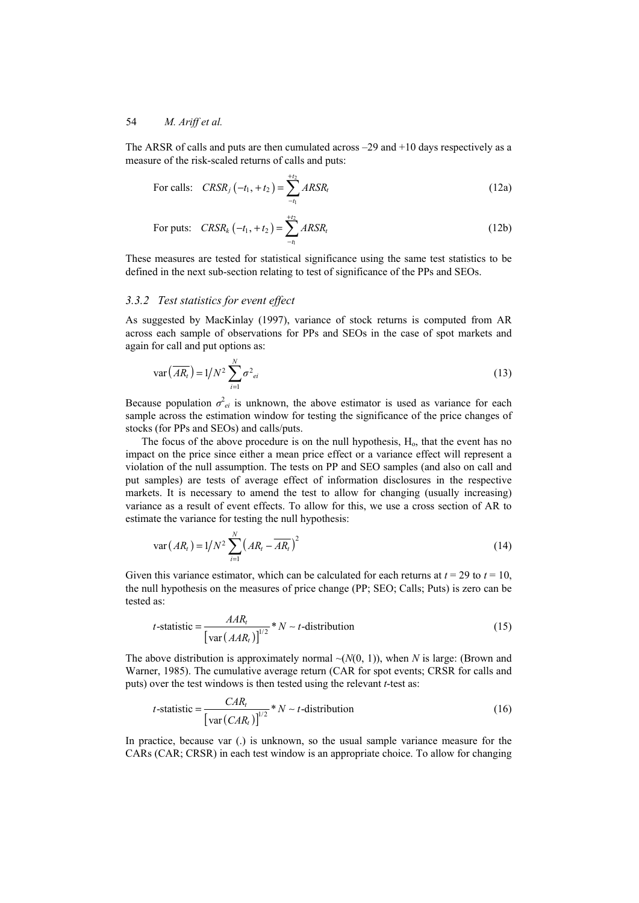The ARSR of calls and puts are then cumulated across  $-29$  and  $+10$  days respectively as a measure of the risk-scaled returns of calls and puts:

For calls: 
$$
CRSR_j(-t_1, +t_2) = \sum_{-t_1}^{+t_2} ARSR_t
$$
 (12a)

For puts: 
$$
CRSR_k(-t_1, +t_2) = \sum_{-t_1}^{+t_2} ARSR_t
$$
 (12b)

These measures are tested for statistical significance using the same test statistics to be defined in the next sub-section relating to test of significance of the PPs and SEOs.

#### *3.3.2 Test statistics for event effect*

As suggested by MacKinlay (1997), variance of stock returns is computed from AR across each sample of observations for PPs and SEOs in the case of spot markets and again for call and put options as:

$$
\text{var}\left(\overline{AR_t}\right) = 1/N^2 \sum_{i=1}^N \sigma_{ei}^2 \tag{13}
$$

Because population  $\sigma_{ei}^2$  is unknown, the above estimator is used as variance for each sample across the estimation window for testing the significance of the price changes of stocks (for PPs and SEOs) and calls/puts.

The focus of the above procedure is on the null hypothesis,  $H_0$ , that the event has no impact on the price since either a mean price effect or a variance effect will represent a violation of the null assumption. The tests on PP and SEO samples (and also on call and put samples) are tests of average effect of information disclosures in the respective markets. It is necessary to amend the test to allow for changing (usually increasing) variance as a result of event effects. To allow for this, we use a cross section of AR to estimate the variance for testing the null hypothesis:

$$
var(AR_t) = 1/N^2 \sum_{i=1}^{N} (AR_t - \overline{AR_t})^2
$$
 (14)

Given this variance estimator, which can be calculated for each returns at  $t = 29$  to  $t = 10$ , the null hypothesis on the measures of price change (PP; SEO; Calls; Puts) is zero can be tested as:

$$
t\text{-statistic} = \frac{AAR_t}{\left[\text{var}\left(AAR_t\right)\right]^{1/2}} * N \sim t\text{-distribution}
$$
\n(15)

The above distribution is approximately normal  $\sim (N(0, 1))$ , when *N* is large: (Brown and Warner, 1985). The cumulative average return (CAR for spot events; CRSR for calls and puts) over the test windows is then tested using the relevant *t*-test as:

$$
t\text{-statistic} = \frac{CAR_t}{\left[\text{var}(CAR_t)\right]^{1/2}} * N \sim t\text{-distribution}
$$
 (16)

In practice, because var (.) is unknown, so the usual sample variance measure for the CARs (CAR; CRSR) in each test window is an appropriate choice. To allow for changing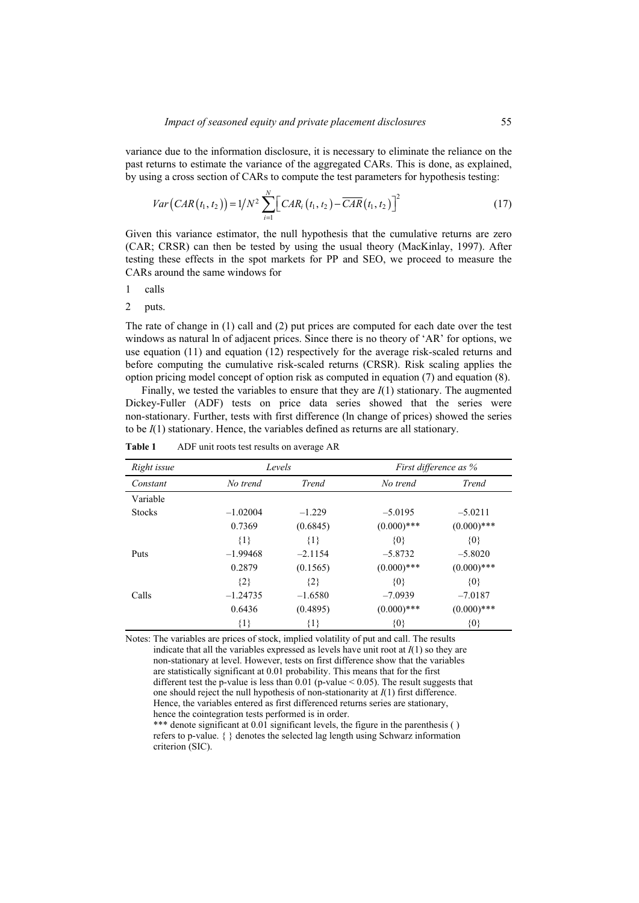variance due to the information disclosure, it is necessary to eliminate the reliance on the past returns to estimate the variance of the aggregated CARs. This is done, as explained, by using a cross section of CARs to compute the test parameters for hypothesis testing:

$$
Var\big(CAR(t_1, t_2)\big) = 1/N^2 \sum_{i=1}^{N} \Big[ CAR_i\big(t_1, t_2\big) - \overline{CAR}\big(t_1, t_2\big) \Big]^2 \tag{17}
$$

Given this variance estimator, the null hypothesis that the cumulative returns are zero (CAR; CRSR) can then be tested by using the usual theory (MacKinlay, 1997). After testing these effects in the spot markets for PP and SEO, we proceed to measure the CARs around the same windows for

1 calls

2 puts.

The rate of change in (1) call and (2) put prices are computed for each date over the test windows as natural ln of adjacent prices. Since there is no theory of 'AR' for options, we use equation (11) and equation (12) respectively for the average risk-scaled returns and before computing the cumulative risk-scaled returns (CRSR). Risk scaling applies the option pricing model concept of option risk as computed in equation (7) and equation (8).

Finally, we tested the variables to ensure that they are *I*(1) stationary. The augmented Dickey-Fuller (ADF) tests on price data series showed that the series were non-stationary. Further, tests with first difference (ln change of prices) showed the series to be *I*(1) stationary. Hence, the variables defined as returns are all stationary.

| Right issue   |            | Levels<br>First difference as % |               |               |
|---------------|------------|---------------------------------|---------------|---------------|
| Constant      | No trend   | <b>Trend</b>                    | No trend      | Trend         |
| Variable      |            |                                 |               |               |
| <b>Stocks</b> | $-1.02004$ | $-1.229$                        | $-5.0195$     | $-5.0211$     |
|               | 0.7369     | (0.6845)                        | $(0.000)$ *** | $(0.000)$ *** |
|               | ${1}$      | $\{1\}$                         | $\{0\}$       | ${0}$         |
| Puts          | $-1.99468$ | $-2.1154$                       | $-5.8732$     | $-5.8020$     |
|               | 0.2879     | (0.1565)                        | $(0.000)$ *** | $(0.000)$ *** |
|               | ${2}$      | ${2}$                           | $\{0\}$       | $\{0\}$       |
| Calls         | $-1.24735$ | $-1.6580$                       | $-7.0939$     | $-7.0187$     |
|               | 0.6436     | (0.4895)                        | $(0.000)$ *** | $(0.000)$ *** |
|               | $\{1\}$    | $\{1\}$                         | ${0}$         | ${0}$         |

**Table 1** ADF unit roots test results on average AR

Notes: The variables are prices of stock, implied volatility of put and call. The results indicate that all the variables expressed as levels have unit root at *I*(1) so they are non-stationary at level. However, tests on first difference show that the variables are statistically significant at 0.01 probability. This means that for the first different test the p-value is less than  $0.01$  (p-value  $< 0.05$ ). The result suggests that one should reject the null hypothesis of non-stationarity at *I*(1) first difference. Hence, the variables entered as first differenced returns series are stationary, hence the cointegration tests performed is in order.

\*\*\* denote significant at 0.01 significant levels, the figure in the parenthesis () refers to p-value. { } denotes the selected lag length using Schwarz information criterion (SIC).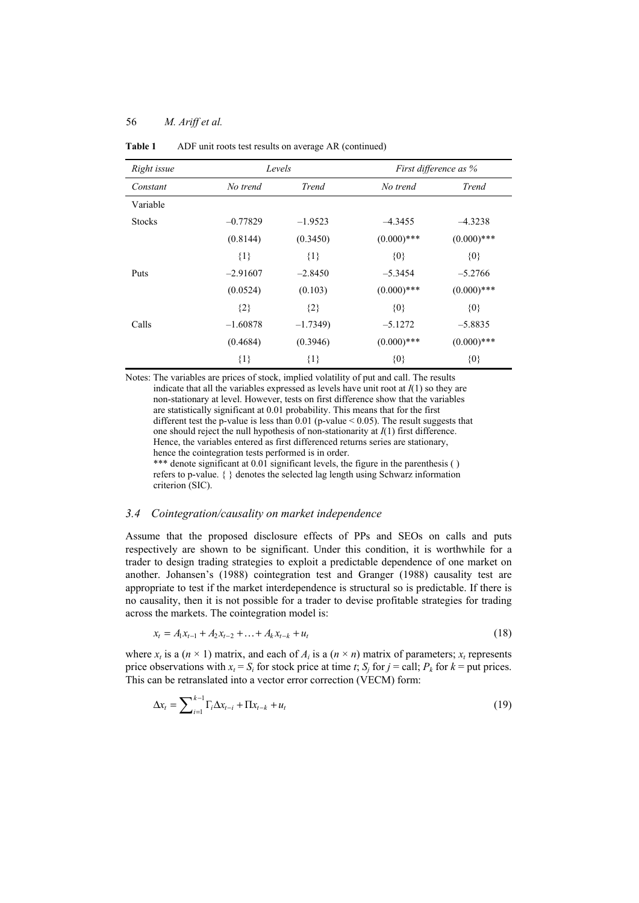| Right issue   |            | Levels<br>First difference as % |               |               |
|---------------|------------|---------------------------------|---------------|---------------|
| Constant      | No trend   | <b>Trend</b>                    | No trend      | <b>Trend</b>  |
| Variable      |            |                                 |               |               |
| <b>Stocks</b> | $-0.77829$ | $-1.9523$<br>$-4.3455$          |               | $-4.3238$     |
|               | (0.8144)   | (0.3450)                        | $(0.000)$ *** | $(0.000)$ *** |
|               | $\{1\}$    | $\{1\}$                         | ${0}$         | ${0}$         |
| Puts          | $-2.91607$ | $-2.8450$                       | $-5.3454$     | $-5.2766$     |
|               | (0.0524)   | (0.103)                         | $(0.000)$ *** | $(0.000)$ *** |
|               | ${2}$      | ${2}$                           | ${0}$         | ${0}$         |
| Calls         | $-1.60878$ | $-1.7349$                       | $-5.1272$     | $-5.8835$     |
|               | (0.4684)   | (0.3946)                        | $(0.000)$ *** | $(0.000)$ *** |
|               | ${1}$      | $\{1\}$                         | ${0}$         | ${0}$         |

**Table 1** ADF unit roots test results on average AR (continued)

Notes: The variables are prices of stock, implied volatility of put and call. The results indicate that all the variables expressed as levels have unit root at *I*(1) so they are non-stationary at level. However, tests on first difference show that the variables are statistically significant at 0.01 probability. This means that for the first different test the p-value is less than  $0.01$  (p-value  $< 0.05$ ). The result suggests that one should reject the null hypothesis of non-stationarity at *I*(1) first difference. Hence, the variables entered as first differenced returns series are stationary, hence the cointegration tests performed is in order. \*\*\* denote significant at  $0.01$  significant levels, the figure in the parenthesis ( )

refers to p-value. { } denotes the selected lag length using Schwarz information criterion (SIC).

## *3.4 Cointegration/causality on market independence*

Assume that the proposed disclosure effects of PPs and SEOs on calls and puts respectively are shown to be significant. Under this condition, it is worthwhile for a trader to design trading strategies to exploit a predictable dependence of one market on another. Johansen's (1988) cointegration test and Granger (1988) causality test are appropriate to test if the market interdependence is structural so is predictable. If there is no causality, then it is not possible for a trader to devise profitable strategies for trading across the markets. The cointegration model is:

$$
x_t = A_1 x_{t-1} + A_2 x_{t-2} + \ldots + A_k x_{t-k} + u_t \tag{18}
$$

where  $x_t$  is a  $(n \times 1)$  matrix, and each of  $A_i$  is a  $(n \times n)$  matrix of parameters;  $x_t$  represents price observations with  $x_t = S_i$  for stock price at time *t*;  $S_i$  for  $j = \text{call}$ ;  $P_k$  for  $k = \text{put prices}$ . This can be retranslated into a vector error correction (VECM) form:

$$
\Delta x_t = \sum\nolimits_{i=1}^{k-1} \Gamma_i \Delta x_{t-i} + \Pi x_{t-k} + u_t
$$
\n(19)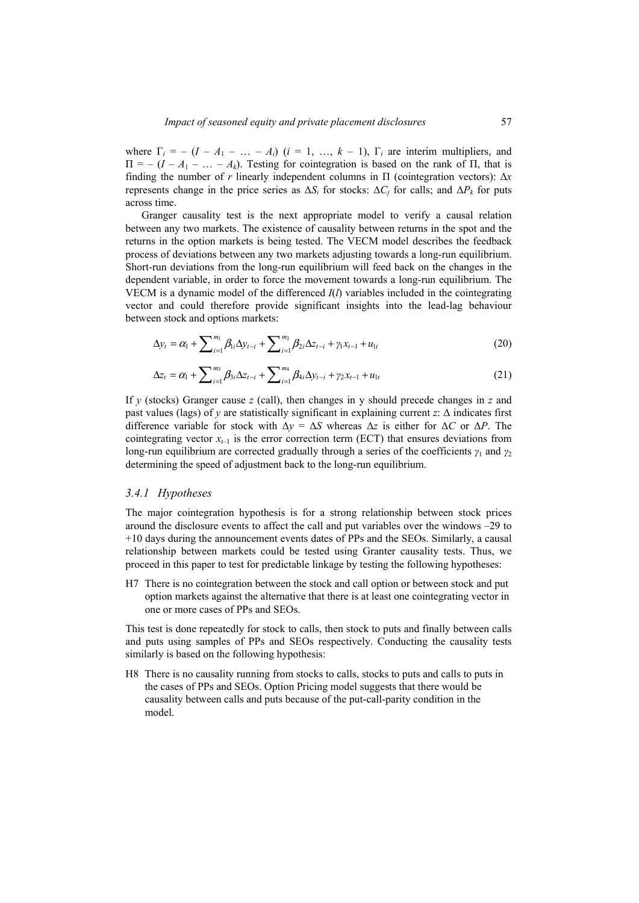where  $\Gamma_i = - (I - A_1 - \ldots - A_i)$   $(i = 1, \ldots, k - 1)$ ,  $\Gamma_i$  are interim multipliers, and  $\Pi = -(I - A_1 - ... - A_k)$ . Testing for cointegration is based on the rank of  $\Pi$ , that is finding the number of *r* linearly independent columns in Π (cointegration vectors): Δ*x* represents change in the price series as Δ*Si* for stocks: Δ*Cj* for calls; and Δ*Pk* for puts across time.

Granger causality test is the next appropriate model to verify a causal relation between any two markets. The existence of causality between returns in the spot and the returns in the option markets is being tested. The VECM model describes the feedback process of deviations between any two markets adjusting towards a long-run equilibrium. Short-run deviations from the long-run equilibrium will feed back on the changes in the dependent variable, in order to force the movement towards a long-run equilibrium. The VECM is a dynamic model of the differenced *I*(*l*) variables included in the cointegrating vector and could therefore provide significant insights into the lead-lag behaviour between stock and options markets:

$$
\Delta y_t = \alpha_1 + \sum_{i=1}^{m_1} \beta_{1i} \Delta y_{t-i} + \sum_{i=1}^{m_2} \beta_{2i} \Delta z_{t-i} + \gamma_1 x_{t-1} + u_{1t}
$$
(20)

$$
\Delta z_t = \alpha_1 + \sum_{i=1}^{m_3} \beta_{3i} \Delta z_{t-i} + \sum_{i=1}^{m_4} \beta_{4i} \Delta y_{t-i} + \gamma_2 x_{t-1} + u_{1t}
$$
(21)

If *y* (stocks) Granger cause *z* (call), then changes in y should precede changes in *z* and past values (lags) of *y* are statistically significant in explaining current *z*: Δ indicates first difference variable for stock with  $\Delta y = \Delta S$  whereas  $\Delta z$  is either for  $\Delta C$  or  $\Delta P$ . The cointegrating vector  $x_{t-1}$  is the error correction term (ECT) that ensures deviations from long-run equilibrium are corrected gradually through a series of the coefficients *γ*<sub>1</sub> and *γ*<sub>2</sub> determining the speed of adjustment back to the long-run equilibrium.

## *3.4.1 Hypotheses*

The major cointegration hypothesis is for a strong relationship between stock prices around the disclosure events to affect the call and put variables over the windows –29 to +10 days during the announcement events dates of PPs and the SEOs. Similarly, a causal relationship between markets could be tested using Granter causality tests. Thus, we proceed in this paper to test for predictable linkage by testing the following hypotheses:

H7 There is no cointegration between the stock and call option or between stock and put option markets against the alternative that there is at least one cointegrating vector in one or more cases of PPs and SEOs.

This test is done repeatedly for stock to calls, then stock to puts and finally between calls and puts using samples of PPs and SEOs respectively. Conducting the causality tests similarly is based on the following hypothesis:

H8 There is no causality running from stocks to calls, stocks to puts and calls to puts in the cases of PPs and SEOs. Option Pricing model suggests that there would be causality between calls and puts because of the put-call-parity condition in the model.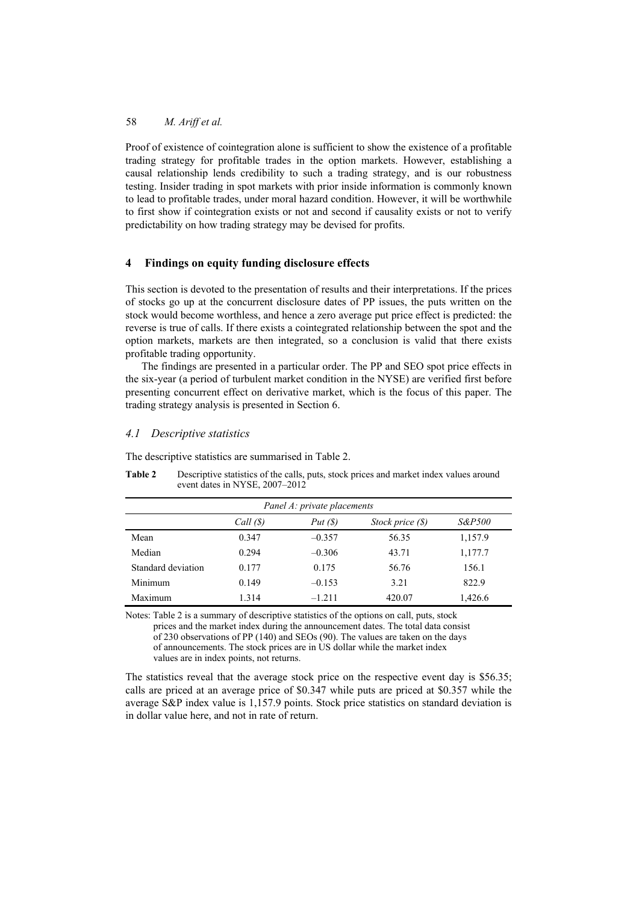Proof of existence of cointegration alone is sufficient to show the existence of a profitable trading strategy for profitable trades in the option markets. However, establishing a causal relationship lends credibility to such a trading strategy, and is our robustness testing. Insider trading in spot markets with prior inside information is commonly known to lead to profitable trades, under moral hazard condition. However, it will be worthwhile to first show if cointegration exists or not and second if causality exists or not to verify predictability on how trading strategy may be devised for profits.

#### **4 Findings on equity funding disclosure effects**

This section is devoted to the presentation of results and their interpretations. If the prices of stocks go up at the concurrent disclosure dates of PP issues, the puts written on the stock would become worthless, and hence a zero average put price effect is predicted: the reverse is true of calls. If there exists a cointegrated relationship between the spot and the option markets, markets are then integrated, so a conclusion is valid that there exists profitable trading opportunity.

The findings are presented in a particular order. The PP and SEO spot price effects in the six-year (a period of turbulent market condition in the NYSE) are verified first before presenting concurrent effect on derivative market, which is the focus of this paper. The trading strategy analysis is presented in Section 6.

#### *4.1 Descriptive statistics*

The descriptive statistics are summarised in Table 2.

| Panel A: private placements                                       |       |          |        |         |  |  |
|-------------------------------------------------------------------|-------|----------|--------|---------|--|--|
| Call (\$)<br>Stock price $(\$)$<br><i>S&amp;P500</i><br>Put $(S)$ |       |          |        |         |  |  |
| Mean                                                              | 0.347 | $-0.357$ | 56.35  | 1,157.9 |  |  |
| Median                                                            | 0.294 | $-0.306$ | 43.71  | 1,177.7 |  |  |
| Standard deviation                                                | 0.177 | 0.175    | 56.76  | 156.1   |  |  |
| Minimum                                                           | 0.149 | $-0.153$ | 3.21   | 822.9   |  |  |
| Maximum                                                           | 1.314 | $-1.211$ | 420.07 | 1,426.6 |  |  |

**Table 2** Descriptive statistics of the calls, puts, stock prices and market index values around event dates in NYSE, 2007–2012

Notes: Table 2 is a summary of descriptive statistics of the options on call, puts, stock prices and the market index during the announcement dates. The total data consist of 230 observations of PP (140) and SEOs (90). The values are taken on the days of announcements. The stock prices are in US dollar while the market index values are in index points, not returns.

The statistics reveal that the average stock price on the respective event day is \$56.35; calls are priced at an average price of \$0.347 while puts are priced at \$0.357 while the average S&P index value is 1,157.9 points. Stock price statistics on standard deviation is in dollar value here, and not in rate of return.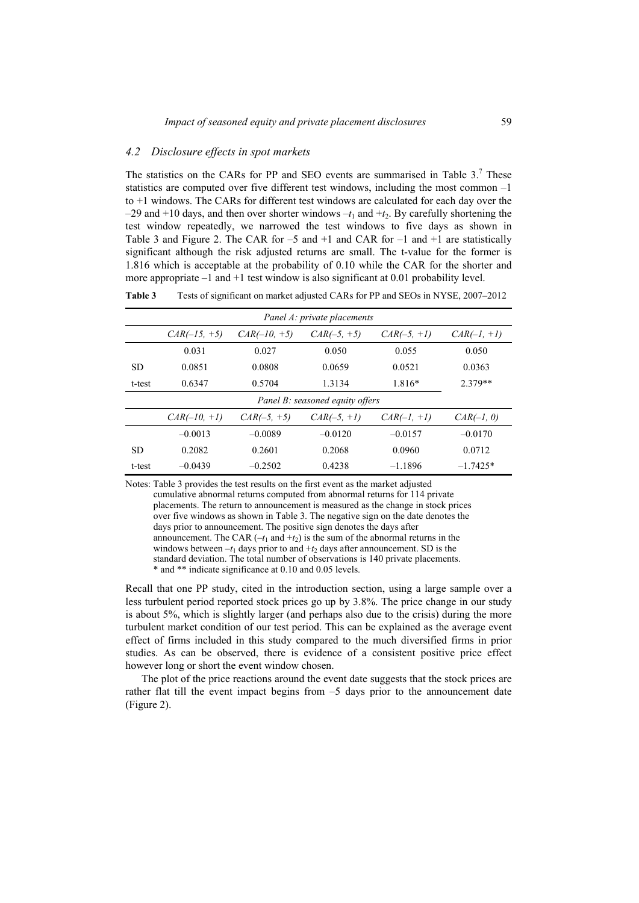#### *4.2 Disclosure effects in spot markets*

The statistics on the CARs for PP and SEO events are summarised in Table 3.<sup>7</sup> These statistics are computed over five different test windows, including the most common –1 to +1 windows. The CARs for different test windows are calculated for each day over the  $-29$  and  $+10$  days, and then over shorter windows  $-t_1$  and  $+t_2$ . By carefully shortening the test window repeatedly, we narrowed the test windows to five days as shown in Table 3 and Figure 2. The CAR for  $-5$  and  $+1$  and CAR for  $-1$  and  $+1$  are statistically significant although the risk adjusted returns are small. The t-value for the former is 1.816 which is acceptable at the probability of 0.10 while the CAR for the shorter and more appropriate  $-1$  and  $+1$  test window is also significant at 0.01 probability level.

**Table 3** Tests of significant on market adjusted CARs for PP and SEOs in NYSE, 2007–2012

|           | Panel A: private placements |               |               |               |              |  |  |
|-----------|-----------------------------|---------------|---------------|---------------|--------------|--|--|
|           | $CAR(-15, +5)$              | $CAR(-1, +1)$ |               |               |              |  |  |
|           | 0.031                       | 0.027         | 0.050         | 0.055         | 0.050        |  |  |
| <b>SD</b> | 0.0851                      | 0.0808        | 0.0659        | 0.0521        | 0.0363       |  |  |
| t-test    | 0.6347                      | 0.5704        | 1.3134        | 1.816*        | $2.379**$    |  |  |
|           |                             |               |               |               |              |  |  |
|           | $CAR(-10, +1)$              | $CAR(-5, +5)$ | $CAR(-5, +1)$ | $CAR(-1, +1)$ | $CAR(-1, 0)$ |  |  |
|           | $-0.0013$                   | $-0.0089$     | $-0.0120$     | $-0.0157$     | $-0.0170$    |  |  |
| <b>SD</b> | 0.2082                      | 0.2601        | 0.2068        | 0.0960        | 0.0712       |  |  |
| t-test    | $-0.0439$                   | $-0.2502$     | 0.4238        | $-1.1896$     | $-1.7425*$   |  |  |

Notes: Table 3 provides the test results on the first event as the market adjusted

cumulative abnormal returns computed from abnormal returns for 114 private placements. The return to announcement is measured as the change in stock prices over five windows as shown in Table 3. The negative sign on the date denotes the days prior to announcement. The positive sign denotes the days after announcement. The CAR  $(-t_1$  and  $+t_2)$  is the sum of the abnormal returns in the windows between  $-t_1$  days prior to and  $+t_2$  days after announcement. SD is the standard deviation. The total number of observations is 140 private placements. \* and \*\* indicate significance at 0.10 and 0.05 levels.

Recall that one PP study, cited in the introduction section, using a large sample over a less turbulent period reported stock prices go up by 3.8%. The price change in our study is about 5%, which is slightly larger (and perhaps also due to the crisis) during the more turbulent market condition of our test period. This can be explained as the average event effect of firms included in this study compared to the much diversified firms in prior studies. As can be observed, there is evidence of a consistent positive price effect however long or short the event window chosen.

The plot of the price reactions around the event date suggests that the stock prices are rather flat till the event impact begins from –5 days prior to the announcement date (Figure 2).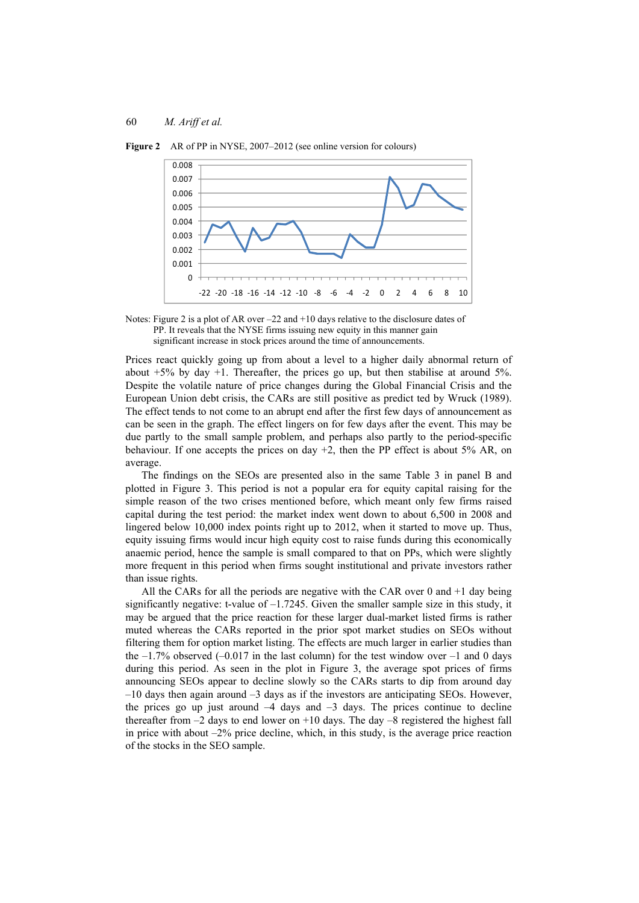

Figure 2 AR of PP in NYSE, 2007–2012 (see online version for colours)

Notes: Figure 2 is a plot of AR over –22 and +10 days relative to the disclosure dates of PP. It reveals that the NYSE firms issuing new equity in this manner gain significant increase in stock prices around the time of announcements.

Prices react quickly going up from about a level to a higher daily abnormal return of about  $+5\%$  by day  $+1$ . Thereafter, the prices go up, but then stabilise at around 5%. Despite the volatile nature of price changes during the Global Financial Crisis and the European Union debt crisis, the CARs are still positive as predict ted by Wruck (1989). The effect tends to not come to an abrupt end after the first few days of announcement as can be seen in the graph. The effect lingers on for few days after the event. This may be due partly to the small sample problem, and perhaps also partly to the period-specific behaviour. If one accepts the prices on day  $+2$ , then the PP effect is about 5% AR, on average.

The findings on the SEOs are presented also in the same Table 3 in panel B and plotted in Figure 3. This period is not a popular era for equity capital raising for the simple reason of the two crises mentioned before, which meant only few firms raised capital during the test period: the market index went down to about 6,500 in 2008 and lingered below 10,000 index points right up to 2012, when it started to move up. Thus, equity issuing firms would incur high equity cost to raise funds during this economically anaemic period, hence the sample is small compared to that on PPs, which were slightly more frequent in this period when firms sought institutional and private investors rather than issue rights.

All the CARs for all the periods are negative with the CAR over 0 and +1 day being significantly negative: t-value of  $-1.7245$ . Given the smaller sample size in this study, it may be argued that the price reaction for these larger dual-market listed firms is rather muted whereas the CARs reported in the prior spot market studies on SEOs without filtering them for option market listing. The effects are much larger in earlier studies than the  $-1.7\%$  observed  $(-0.017$  in the last column) for the test window over  $-1$  and 0 days during this period. As seen in the plot in Figure 3, the average spot prices of firms announcing SEOs appear to decline slowly so the CARs starts to dip from around day  $-10$  days then again around  $-3$  days as if the investors are anticipating SEOs. However, the prices go up just around  $-4$  days and  $-3$  days. The prices continue to decline thereafter from  $-2$  days to end lower on  $+10$  days. The day  $-8$  registered the highest fall in price with about –2% price decline, which, in this study, is the average price reaction of the stocks in the SEO sample.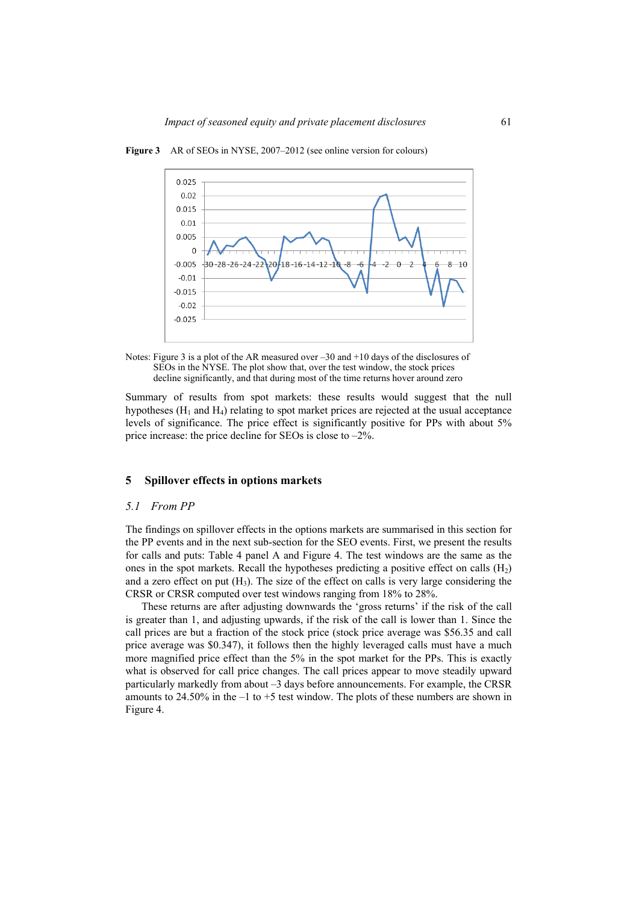

**Figure 3** AR of SEOs in NYSE, 2007–2012 (see online version for colours)



Summary of results from spot markets: these results would suggest that the null hypotheses  $(H_1$  and  $H_4$ ) relating to spot market prices are rejected at the usual acceptance levels of significance. The price effect is significantly positive for PPs with about 5% price increase: the price decline for SEOs is close to –2%.

#### **5 Spillover effects in options markets**

#### *5.1 From PP*

The findings on spillover effects in the options markets are summarised in this section for the PP events and in the next sub-section for the SEO events. First, we present the results for calls and puts: Table 4 panel A and Figure 4. The test windows are the same as the ones in the spot markets. Recall the hypotheses predicting a positive effect on calls  $(H<sub>2</sub>)$ and a zero effect on put  $(H<sub>3</sub>)$ . The size of the effect on calls is very large considering the CRSR or CRSR computed over test windows ranging from 18% to 28%.

These returns are after adjusting downwards the 'gross returns' if the risk of the call is greater than 1, and adjusting upwards, if the risk of the call is lower than 1. Since the call prices are but a fraction of the stock price (stock price average was \$56.35 and call price average was \$0.347), it follows then the highly leveraged calls must have a much more magnified price effect than the 5% in the spot market for the PPs. This is exactly what is observed for call price changes. The call prices appear to move steadily upward particularly markedly from about –3 days before announcements. For example, the CRSR amounts to 24.50% in the  $-1$  to  $+5$  test window. The plots of these numbers are shown in Figure 4.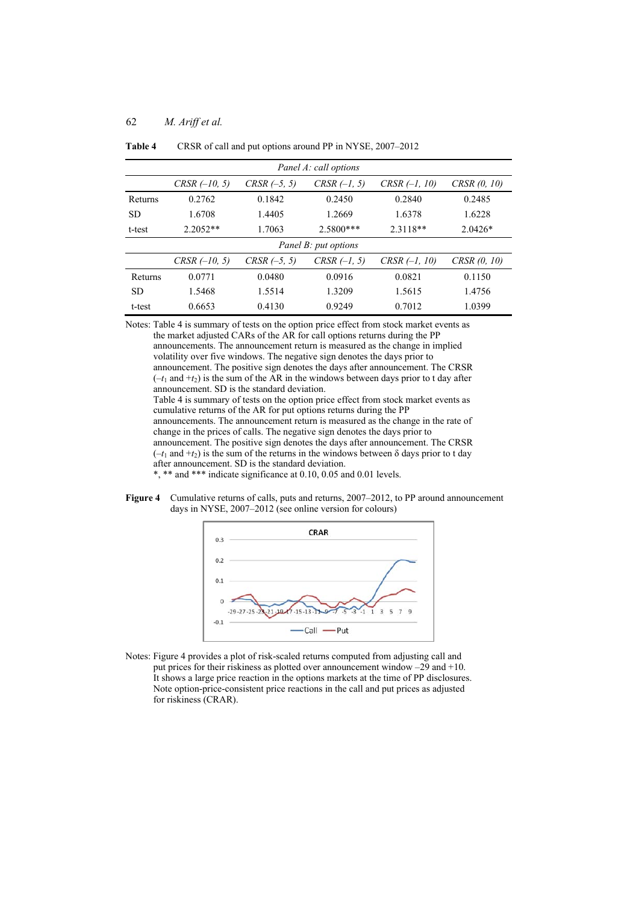| Panel A: call options |                                                                                       |                |                      |                 |             |  |  |
|-----------------------|---------------------------------------------------------------------------------------|----------------|----------------------|-----------------|-------------|--|--|
|                       | CRSR $(-1, 5)$<br>CRSR(0, 10)<br>$CRSR (-10, 5)$<br>$CRSR (-1, 10)$<br>$CRSR (-5, 5)$ |                |                      |                 |             |  |  |
| Returns               | 0.2762                                                                                | 0.1842         | 0.2450               | 0.2840          | 0.2485      |  |  |
| <b>SD</b>             | 1.6708<br>1.4405<br>1.2669                                                            |                | 1.6378               | 1.6228          |             |  |  |
| t-test                | $2.2052**$                                                                            | 1.7063         | $2.5800***$          | 2.3118**        | $2.0426*$   |  |  |
|                       |                                                                                       |                | Panel B: put options |                 |             |  |  |
|                       | $CRSR (-10, 5)$                                                                       | $CRSR (-5, 5)$ | CRSR $(-1, 5)$       | $CRSR (-1, 10)$ | CRSR(0, 10) |  |  |
| Returns               | 0.0771                                                                                | 0.0480         | 0.0916               | 0.0821          | 0.1150      |  |  |
| <b>SD</b>             | 1.5468                                                                                | 1.5514         | 1.3209               | 1.5615          | 1.4756      |  |  |
| t-test                | 0.6653                                                                                | 0.4130         | 0.9249               | 0.7012          | 1.0399      |  |  |

| Table 4 |  |  | CRSR of call and put options around PP in NYSE, 2007–2012 |
|---------|--|--|-----------------------------------------------------------|
|---------|--|--|-----------------------------------------------------------|

Notes: Table 4 is summary of tests on the option price effect from stock market events as the market adjusted CARs of the AR for call options returns during the PP announcements. The announcement return is measured as the change in implied volatility over five windows. The negative sign denotes the days prior to announcement. The positive sign denotes the days after announcement. The CRSR  $(-t_1$  and  $+t_2$ ) is the sum of the AR in the windows between days prior to t day after announcement. SD is the standard deviation.

Table 4 is summary of tests on the option price effect from stock market events as cumulative returns of the AR for put options returns during the PP announcements. The announcement return is measured as the change in the rate of change in the prices of calls. The negative sign denotes the days prior to announcement. The positive sign denotes the days after announcement. The CRSR

 $(-t_1$  and  $+t_2$ ) is the sum of the returns in the windows between  $\delta$  days prior to t day after announcement. SD is the standard deviation.

\*, \*\* and \*\*\* indicate significance at 0.10, 0.05 and 0.01 levels.





Notes: Figure 4 provides a plot of risk-scaled returns computed from adjusting call and put prices for their riskiness as plotted over announcement window –29 and +10. It shows a large price reaction in the options markets at the time of PP disclosures. Note option-price-consistent price reactions in the call and put prices as adjusted for riskiness (CRAR).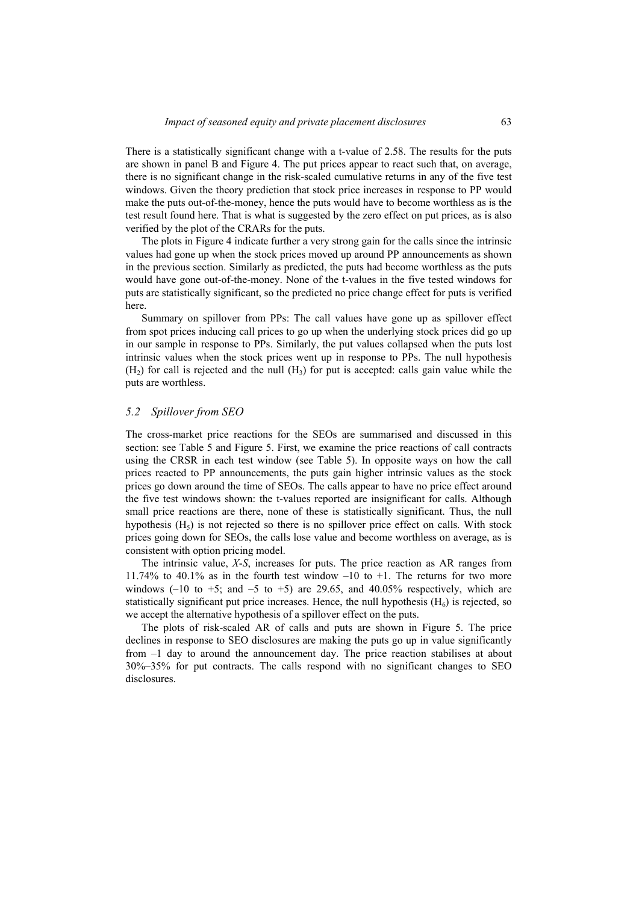There is a statistically significant change with a t-value of 2.58. The results for the puts are shown in panel B and Figure 4. The put prices appear to react such that, on average, there is no significant change in the risk-scaled cumulative returns in any of the five test windows. Given the theory prediction that stock price increases in response to PP would make the puts out-of-the-money, hence the puts would have to become worthless as is the test result found here. That is what is suggested by the zero effect on put prices, as is also verified by the plot of the CRARs for the puts.

The plots in Figure 4 indicate further a very strong gain for the calls since the intrinsic values had gone up when the stock prices moved up around PP announcements as shown in the previous section. Similarly as predicted, the puts had become worthless as the puts would have gone out-of-the-money. None of the t-values in the five tested windows for puts are statistically significant, so the predicted no price change effect for puts is verified here.

Summary on spillover from PPs: The call values have gone up as spillover effect from spot prices inducing call prices to go up when the underlying stock prices did go up in our sample in response to PPs. Similarly, the put values collapsed when the puts lost intrinsic values when the stock prices went up in response to PPs. The null hypothesis  $(H<sub>2</sub>)$  for call is rejected and the null  $(H<sub>3</sub>)$  for put is accepted: calls gain value while the puts are worthless.

#### *5.2 Spillover from SEO*

The cross-market price reactions for the SEOs are summarised and discussed in this section: see Table 5 and Figure 5. First, we examine the price reactions of call contracts using the CRSR in each test window (see Table 5). In opposite ways on how the call prices reacted to PP announcements, the puts gain higher intrinsic values as the stock prices go down around the time of SEOs. The calls appear to have no price effect around the five test windows shown: the t-values reported are insignificant for calls. Although small price reactions are there, none of these is statistically significant. Thus, the null hypothesis  $(H<sub>5</sub>)$  is not rejected so there is no spillover price effect on calls. With stock prices going down for SEOs, the calls lose value and become worthless on average, as is consistent with option pricing model.

The intrinsic value, *X*-*S*, increases for puts. The price reaction as AR ranges from 11.74% to 40.1% as in the fourth test window  $-10$  to  $+1$ . The returns for two more windows  $(-10 \text{ to } +5)$ ; and  $-5 \text{ to } +5$ ) are 29.65, and 40.05% respectively, which are statistically significant put price increases. Hence, the null hypothesis  $(H_6)$  is rejected, so we accept the alternative hypothesis of a spillover effect on the puts.

The plots of risk-scaled AR of calls and puts are shown in Figure 5. The price declines in response to SEO disclosures are making the puts go up in value significantly from –1 day to around the announcement day. The price reaction stabilises at about 30%–35% for put contracts. The calls respond with no significant changes to SEO disclosures.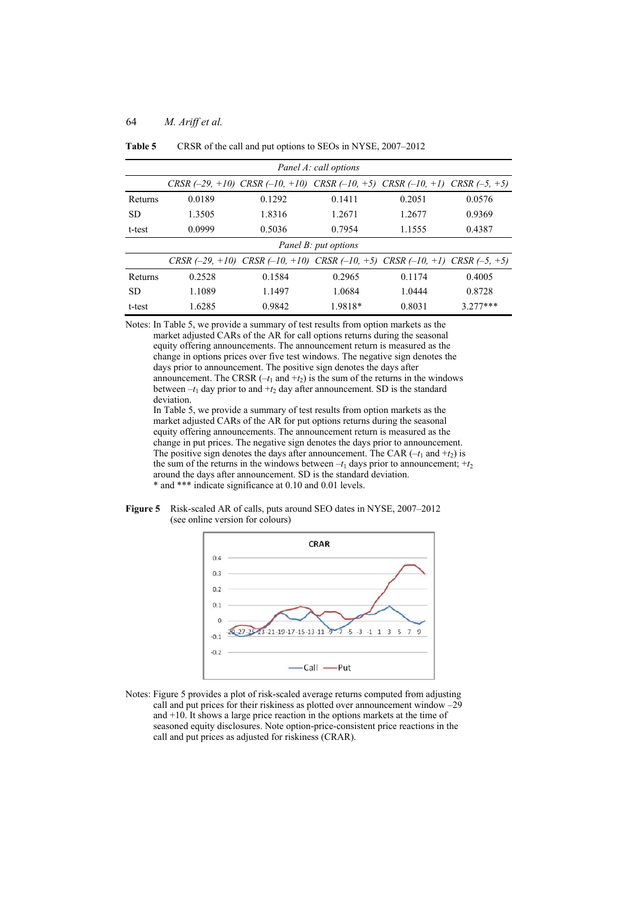|           | Panel A: call options |                                                                                       |         |        |            |  |  |
|-----------|-----------------------|---------------------------------------------------------------------------------------|---------|--------|------------|--|--|
|           |                       | CRSR $(-29, +10)$ CRSR $(-10, +10)$ CRSR $(-10, +5)$ CRSR $(-10, +1)$ CRSR $(-5, +5)$ |         |        |            |  |  |
| Returns   | 0.0189                | 0.1292                                                                                | 0.1411  | 0.2051 | 0.0576     |  |  |
| <b>SD</b> | 1.3505                | 1.8316                                                                                | 1.2671  | 1.2677 | 0.9369     |  |  |
| t-test    | 0.0999                | 0.5036                                                                                | 0.7954  | 1.1555 | 0.4387     |  |  |
|           | Panel B: put options  |                                                                                       |         |        |            |  |  |
|           |                       | CRSR $(-29, +10)$ CRSR $(-10, +10)$ CRSR $(-10, +5)$ CRSR $(-10, +1)$ CRSR $(-5, +5)$ |         |        |            |  |  |
| Returns   | 0.2528                | 0.1584                                                                                | 0.2965  | 0.1174 | 0.4005     |  |  |
| SD.       | 1.1089                | 1.1497                                                                                | 1.0684  | 1.0444 | 0.8728     |  |  |
| t-test    | 1.6285                | 0.9842                                                                                | 1.9818* | 0.8031 | $3.277***$ |  |  |

| CRSR of the call and put options to SEOs in NYSE, 2007–2012<br><b>Table 5</b> |
|-------------------------------------------------------------------------------|
|-------------------------------------------------------------------------------|

Notes: In Table 5, we provide a summary of test results from option markets as the market adjusted CARs of the AR for call options returns during the seasonal equity offering announcements. The announcement return is measured as the change in options prices over five test windows. The negative sign denotes the days prior to announcement. The positive sign denotes the days after announcement. The CRSR  $(-t_1$  and  $+t_2)$  is the sum of the returns in the windows between  $-t_1$  day prior to and  $+t_2$  day after announcement. SD is the standard deviation.

In Table 5, we provide a summary of test results from option markets as the market adjusted CARs of the AR for put options returns during the seasonal equity offering announcements. The announcement return is measured as the change in put prices. The negative sign denotes the days prior to announcement. The positive sign denotes the days after announcement. The CAR  $(-t_1$  and  $+t_2)$  is the sum of the returns in the windows between  $-t_1$  days prior to announcement;  $+t_2$ around the days after announcement. SD is the standard deviation. \* and \*\*\* indicate significance at 0.10 and 0.01 levels.

**Figure 5** Risk-scaled AR of calls, puts around SEO dates in NYSE, 2007–2012 (see online version for colours)



Notes: Figure 5 provides a plot of risk-scaled average returns computed from adjusting call and put prices for their riskiness as plotted over announcement window –29 and +10. It shows a large price reaction in the options markets at the time of seasoned equity disclosures. Note option-price-consistent price reactions in the call and put prices as adjusted for riskiness (CRAR).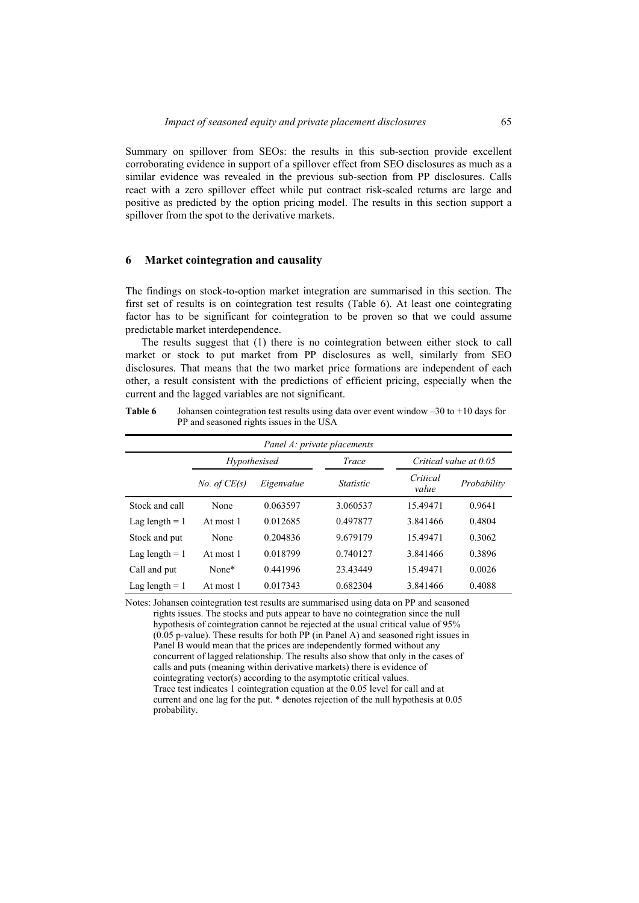Summary on spillover from SEOs: the results in this sub-section provide excellent corroborating evidence in support of a spillover effect from SEO disclosures as much as a similar evidence was revealed in the previous sub-section from PP disclosures. Calls react with a zero spillover effect while put contract risk-scaled returns are large and positive as predicted by the option pricing model. The results in this section support a spillover from the spot to the derivative markets.

## **6 Market cointegration and causality**

The findings on stock-to-option market integration are summarised in this section. The first set of results is on cointegration test results (Table 6). At least one cointegrating factor has to be significant for cointegration to be proven so that we could assume predictable market interdependence.

The results suggest that (1) there is no cointegration between either stock to call market or stock to put market from PP disclosures as well, similarly from SEO disclosures. That means that the two market price formations are independent of each other, a result consistent with the predictions of efficient pricing, especially when the current and the lagged variables are not significant.

**Table 6** Johansen cointegration test results using data over event window –30 to +10 days for PP and seasoned rights issues in the USA

| Panel A: private placements |                |            |                  |                        |             |  |
|-----------------------------|----------------|------------|------------------|------------------------|-------------|--|
|                             | Hypothesised   |            | Trace            | Critical value at 0.05 |             |  |
|                             | No. of $CE(s)$ | Eigenvalue | <i>Statistic</i> | Critical<br>value      | Probability |  |
| Stock and call              | None           | 0.063597   | 3.060537         | 15.49471               | 0.9641      |  |
| Lag length $= 1$            | At most 1      | 0.012685   | 0.497877         | 3.841466               | 0.4804      |  |
| Stock and put               | None           | 0.204836   | 9.679179         | 15.49471               | 0.3062      |  |
| Lag length $= 1$            | At most 1      | 0.018799   | 0.740127         | 3.841466               | 0.3896      |  |
| Call and put                | None*          | 0.441996   | 23.43449         | 15.49471               | 0.0026      |  |
| Lag length $= 1$            | At most 1      | 0.017343   | 0.682304         | 3.841466               | 0.4088      |  |

Notes: Johansen cointegration test results are summarised using data on PP and seasoned rights issues. The stocks and puts appear to have no cointegration since the null hypothesis of cointegration cannot be rejected at the usual critical value of 95% (0.05 p-value). These results for both PP (in Panel A) and seasoned right issues in Panel B would mean that the prices are independently formed without any concurrent of lagged relationship. The results also show that only in the cases of calls and puts (meaning within derivative markets) there is evidence of cointegrating vector(s) according to the asymptotic critical values. Trace test indicates 1 cointegration equation at the 0.05 level for call and at current and one lag for the put. \* denotes rejection of the null hypothesis at 0.05 probability.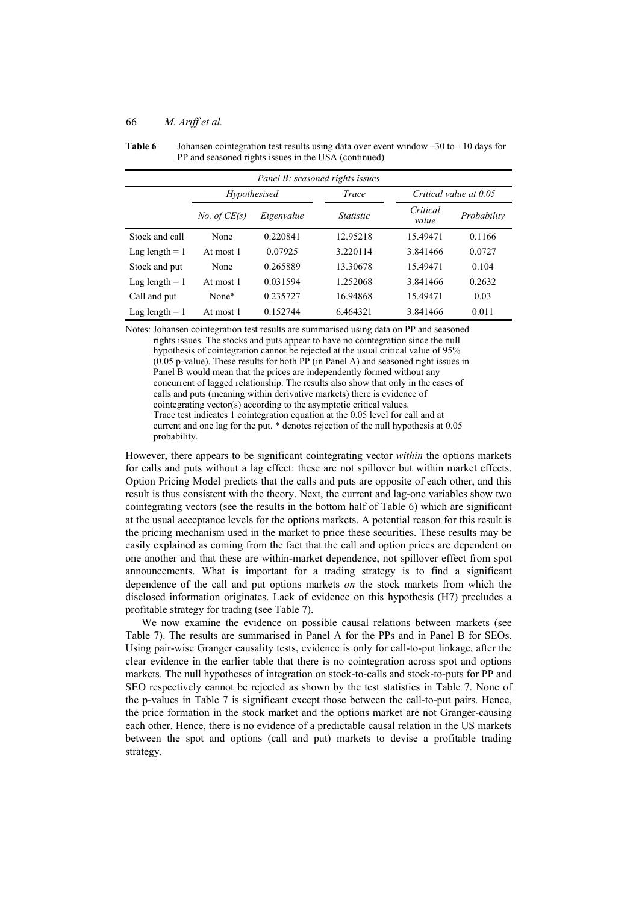| Panel B: seasoned rights issues |                       |            |                  |                        |             |  |
|---------------------------------|-----------------------|------------|------------------|------------------------|-------------|--|
|                                 | Hypothesised          |            | Trace            | Critical value at 0.05 |             |  |
|                                 | <i>No.</i> of $CE(s)$ | Eigenvalue | <i>Statistic</i> | Critical<br>value      | Probability |  |
| Stock and call                  | None                  | 0.220841   | 12.95218         | 15.49471               | 0.1166      |  |
| Lag length $= 1$                | At most 1             | 0.07925    | 3.220114         | 3.841466               | 0.0727      |  |
| Stock and put                   | None                  | 0.265889   | 13.30678         | 15.49471               | 0.104       |  |
| Lag length $= 1$                | At most 1             | 0.031594   | 1.252068         | 3.841466               | 0.2632      |  |
| Call and put                    | None*                 | 0.235727   | 16.94868         | 15.49471               | 0.03        |  |
| Lag length $= 1$                | At most 1             | 0.152744   | 6.464321         | 3.841466               | 0.011       |  |

**Table 6** Johansen cointegration test results using data over event window –30 to +10 days for PP and seasoned rights issues in the USA (continued)

Notes: Johansen cointegration test results are summarised using data on PP and seasoned rights issues. The stocks and puts appear to have no cointegration since the null hypothesis of cointegration cannot be rejected at the usual critical value of 95% (0.05 p-value). These results for both PP (in Panel A) and seasoned right issues in Panel B would mean that the prices are independently formed without any concurrent of lagged relationship. The results also show that only in the cases of calls and puts (meaning within derivative markets) there is evidence of cointegrating vector(s) according to the asymptotic critical values. Trace test indicates 1 cointegration equation at the 0.05 level for call and at current and one lag for the put. \* denotes rejection of the null hypothesis at 0.05 probability.

However, there appears to be significant cointegrating vector *within* the options markets for calls and puts without a lag effect: these are not spillover but within market effects. Option Pricing Model predicts that the calls and puts are opposite of each other, and this result is thus consistent with the theory. Next, the current and lag-one variables show two cointegrating vectors (see the results in the bottom half of Table 6) which are significant at the usual acceptance levels for the options markets. A potential reason for this result is the pricing mechanism used in the market to price these securities. These results may be easily explained as coming from the fact that the call and option prices are dependent on one another and that these are within-market dependence, not spillover effect from spot announcements. What is important for a trading strategy is to find a significant dependence of the call and put options markets *on* the stock markets from which the disclosed information originates. Lack of evidence on this hypothesis (H7) precludes a profitable strategy for trading (see Table 7).

We now examine the evidence on possible causal relations between markets (see Table 7). The results are summarised in Panel A for the PPs and in Panel B for SEOs. Using pair-wise Granger causality tests, evidence is only for call-to-put linkage, after the clear evidence in the earlier table that there is no cointegration across spot and options markets. The null hypotheses of integration on stock-to-calls and stock-to-puts for PP and SEO respectively cannot be rejected as shown by the test statistics in Table 7. None of the p-values in Table 7 is significant except those between the call-to-put pairs. Hence, the price formation in the stock market and the options market are not Granger-causing each other. Hence, there is no evidence of a predictable causal relation in the US markets between the spot and options (call and put) markets to devise a profitable trading strategy.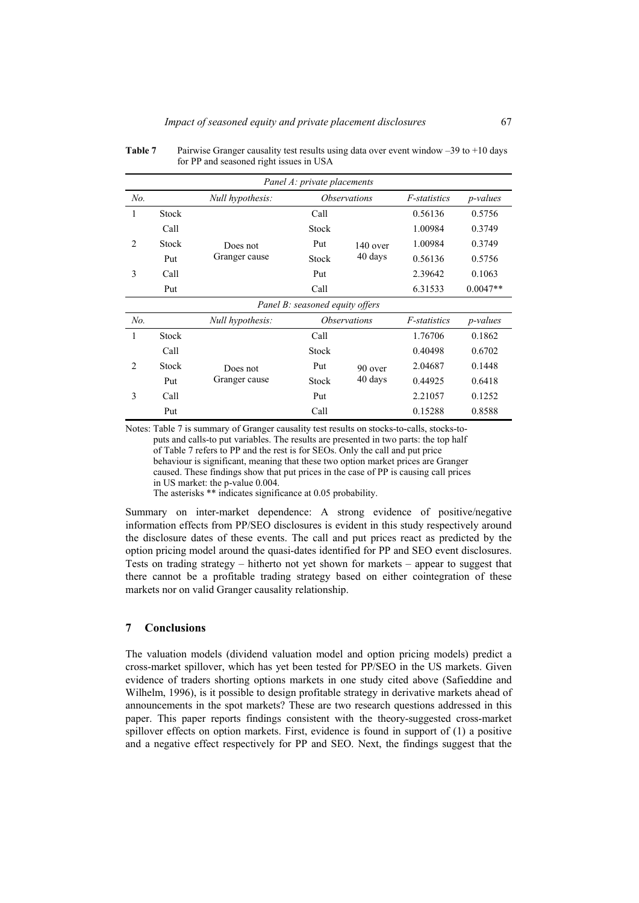|                                 | Panel A: private placements |                  |       |                            |                      |                  |  |
|---------------------------------|-----------------------------|------------------|-------|----------------------------|----------------------|------------------|--|
| No.                             |                             | Null hypothesis: |       | <i><b>Observations</b></i> | <i>F</i> -statistics | <i>p</i> -values |  |
| 1                               | <b>Stock</b>                |                  | Call  |                            | 0.56136              | 0.5756           |  |
|                                 | Call                        |                  | Stock |                            | 1.00984              | 0.3749           |  |
| 2                               | <b>Stock</b>                | Does not         | Put   | $140$ over                 | 1.00984              | 0.3749           |  |
|                                 | Put                         | Granger cause    | Stock | 40 days                    | 0.56136              | 0.5756           |  |
| 3                               | Call                        |                  | Put   |                            | 2.39642              | 0.1063           |  |
|                                 | Put                         |                  | Call  |                            | 6.31533              | $0.0047**$       |  |
| Panel B: seasoned equity offers |                             |                  |       |                            |                      |                  |  |
| No.                             |                             | Null hypothesis: |       | <i><b>Observations</b></i> | <i>F-statistics</i>  | <i>p</i> -values |  |
| 1                               | Stock                       |                  | Call  |                            | 1.76706              | 0.1862           |  |
|                                 | Call                        |                  | Stock |                            | 0.40498              | 0.6702           |  |
| 2                               | Stock                       | Does not         | Put   | 90 over                    | 2.04687              | 0.1448           |  |
|                                 | Put                         | Granger cause    | Stock | 40 days                    | 0.44925              | 0.6418           |  |
| 3                               | Call                        |                  | Put   |                            | 2.21057              | 0.1252           |  |
|                                 | Put                         |                  | Call  |                            | 0.15288              | 0.8588           |  |

**Table 7** Pairwise Granger causality test results using data over event window –39 to +10 days for PP and seasoned right issues in USA

Notes: Table 7 is summary of Granger causality test results on stocks-to-calls, stocks-toputs and calls-to put variables. The results are presented in two parts: the top half of Table 7 refers to PP and the rest is for SEOs. Only the call and put price behaviour is significant, meaning that these two option market prices are Granger caused. These findings show that put prices in the case of PP is causing call prices in US market: the p-value 0.004.

The asterisks \*\* indicates significance at 0.05 probability.

Summary on inter-market dependence: A strong evidence of positive/negative information effects from PP/SEO disclosures is evident in this study respectively around the disclosure dates of these events. The call and put prices react as predicted by the option pricing model around the quasi-dates identified for PP and SEO event disclosures. Tests on trading strategy – hitherto not yet shown for markets – appear to suggest that there cannot be a profitable trading strategy based on either cointegration of these markets nor on valid Granger causality relationship.

#### **7 Conclusions**

The valuation models (dividend valuation model and option pricing models) predict a cross-market spillover, which has yet been tested for PP/SEO in the US markets. Given evidence of traders shorting options markets in one study cited above (Safieddine and Wilhelm, 1996), is it possible to design profitable strategy in derivative markets ahead of announcements in the spot markets? These are two research questions addressed in this paper. This paper reports findings consistent with the theory-suggested cross-market spillover effects on option markets. First, evidence is found in support of (1) a positive and a negative effect respectively for PP and SEO. Next, the findings suggest that the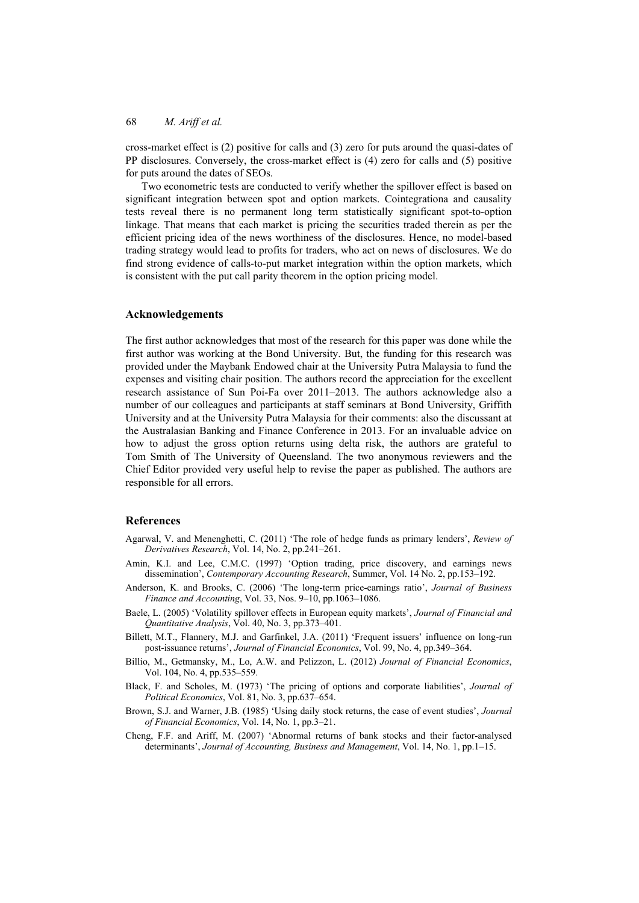cross-market effect is (2) positive for calls and (3) zero for puts around the quasi-dates of PP disclosures. Conversely, the cross-market effect is (4) zero for calls and (5) positive for puts around the dates of SEOs.

Two econometric tests are conducted to verify whether the spillover effect is based on significant integration between spot and option markets. Cointegrationa and causality tests reveal there is no permanent long term statistically significant spot-to-option linkage. That means that each market is pricing the securities traded therein as per the efficient pricing idea of the news worthiness of the disclosures. Hence, no model-based trading strategy would lead to profits for traders, who act on news of disclosures. We do find strong evidence of calls-to-put market integration within the option markets, which is consistent with the put call parity theorem in the option pricing model.

#### **Acknowledgements**

The first author acknowledges that most of the research for this paper was done while the first author was working at the Bond University. But, the funding for this research was provided under the Maybank Endowed chair at the University Putra Malaysia to fund the expenses and visiting chair position. The authors record the appreciation for the excellent research assistance of Sun Poi-Fa over 2011–2013. The authors acknowledge also a number of our colleagues and participants at staff seminars at Bond University, Griffith University and at the University Putra Malaysia for their comments: also the discussant at the Australasian Banking and Finance Conference in 2013. For an invaluable advice on how to adjust the gross option returns using delta risk, the authors are grateful to Tom Smith of The University of Queensland. The two anonymous reviewers and the Chief Editor provided very useful help to revise the paper as published. The authors are responsible for all errors.

#### **References**

- Agarwal, V. and Menenghetti, C. (2011) 'The role of hedge funds as primary lenders', *Review of Derivatives Research*, Vol. 14, No. 2, pp.241–261.
- Amin, K.I. and Lee, C.M.C. (1997) 'Option trading, price discovery, and earnings news dissemination', *Contemporary Accounting Research*, Summer, Vol. 14 No. 2, pp.153–192.
- Anderson, K. and Brooks, C. (2006) 'The long-term price-earnings ratio', *Journal of Business Finance and Accounting*, Vol. 33, Nos. 9–10, pp.1063–1086.
- Baele, L. (2005) 'Volatility spillover effects in European equity markets', *Journal of Financial and Quantitative Analysis*, Vol. 40, No. 3, pp.373–401.
- Billett, M.T., Flannery, M.J. and Garfinkel, J.A. (2011) 'Frequent issuers' influence on long-run post-issuance returns', *Journal of Financial Economics*, Vol. 99, No. 4, pp.349–364.
- Billio, M., Getmansky, M., Lo, A.W. and Pelizzon, L. (2012) *Journal of Financial Economics*, Vol. 104, No. 4, pp.535–559.
- Black, F. and Scholes, M. (1973) 'The pricing of options and corporate liabilities', *Journal of Political Economics*, Vol. 81, No. 3, pp.637–654.
- Brown, S.J. and Warner, J.B. (1985) 'Using daily stock returns, the case of event studies', *Journal of Financial Economics*, Vol. 14, No. 1, pp.3–21.
- Cheng, F.F. and Ariff, M. (2007) 'Abnormal returns of bank stocks and their factor-analysed determinants', *Journal of Accounting, Business and Management*, Vol. 14, No. 1, pp.1–15.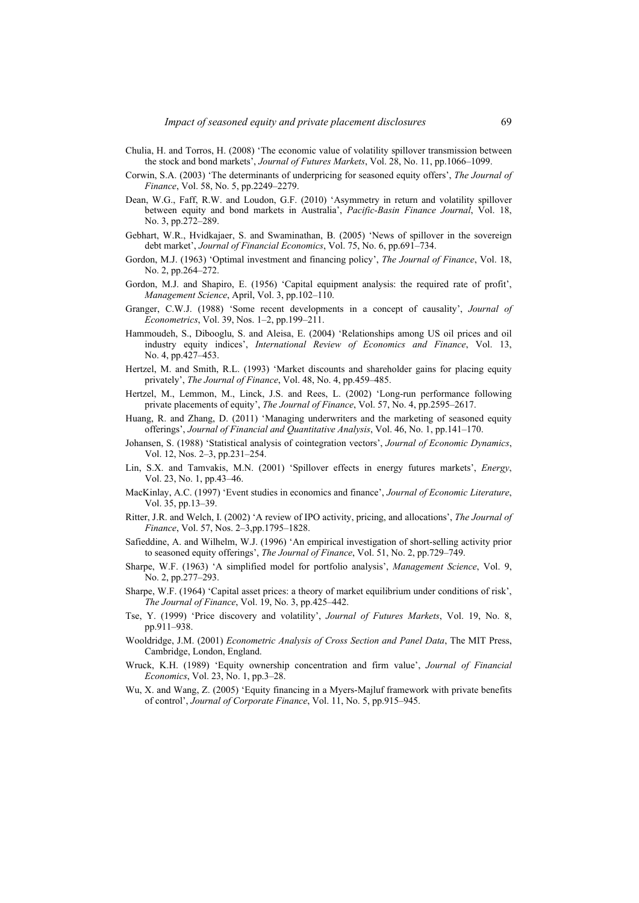- Chulia, H. and Torros, H. (2008) 'The economic value of volatility spillover transmission between the stock and bond markets', *Journal of Futures Markets*, Vol. 28, No. 11, pp.1066–1099.
- Corwin, S.A. (2003) 'The determinants of underpricing for seasoned equity offers', *The Journal of Finance*, Vol. 58, No. 5, pp.2249–2279.
- Dean, W.G., Faff, R.W. and Loudon, G.F. (2010) 'Asymmetry in return and volatility spillover between equity and bond markets in Australia', *Pacific-Basin Finance Journal*, Vol. 18, No. 3, pp.272–289.
- Gebhart, W.R., Hvidkajaer, S. and Swaminathan, B. (2005) 'News of spillover in the sovereign debt market', *Journal of Financial Economics*, Vol. 75, No. 6, pp.691–734.
- Gordon, M.J. (1963) 'Optimal investment and financing policy', *The Journal of Finance*, Vol. 18, No. 2, pp.264–272.
- Gordon, M.J. and Shapiro, E. (1956) 'Capital equipment analysis: the required rate of profit', *Management Science*, April, Vol. 3, pp.102–110.
- Granger, C.W.J. (1988) 'Some recent developments in a concept of causality', *Journal of Econometrics*, Vol. 39, Nos. 1–2, pp.199–211.
- Hammoudeh, S., Dibooglu, S. and Aleisa, E. (2004) 'Relationships among US oil prices and oil industry equity indices', *International Review of Economics and Finance*, Vol. 13, No. 4, pp.427–453.
- Hertzel, M. and Smith, R.L. (1993) 'Market discounts and shareholder gains for placing equity privately', *The Journal of Finance*, Vol. 48, No. 4, pp.459–485.
- Hertzel, M., Lemmon, M., Linck, J.S. and Rees, L. (2002) 'Long-run performance following private placements of equity', *The Journal of Finance*, Vol. 57, No. 4, pp.2595–2617.
- Huang, R. and Zhang, D. (2011) 'Managing underwriters and the marketing of seasoned equity offerings', *Journal of Financial and Quantitative Analysis*, Vol. 46, No. 1, pp.141–170.
- Johansen, S. (1988) 'Statistical analysis of cointegration vectors', *Journal of Economic Dynamics*, Vol. 12, Nos. 2–3, pp.231–254.
- Lin, S.X. and Tamvakis, M.N. (2001) 'Spillover effects in energy futures markets', *Energy*, Vol. 23, No. 1, pp.43–46.
- MacKinlay, A.C. (1997) 'Event studies in economics and finance', *Journal of Economic Literature*, Vol. 35, pp.13–39.
- Ritter, J.R. and Welch, I. (2002) 'A review of IPO activity, pricing, and allocations', *The Journal of Finance*, Vol. 57, Nos. 2–3,pp.1795–1828.
- Safieddine, A. and Wilhelm, W.J. (1996) 'An empirical investigation of short-selling activity prior to seasoned equity offerings', *The Journal of Finance*, Vol. 51, No. 2, pp.729–749.
- Sharpe, W.F. (1963) 'A simplified model for portfolio analysis', *Management Science*, Vol. 9, No. 2, pp.277–293.
- Sharpe, W.F. (1964) 'Capital asset prices: a theory of market equilibrium under conditions of risk', *The Journal of Finance*, Vol. 19, No. 3, pp.425–442.
- Tse, Y. (1999) 'Price discovery and volatility', *Journal of Futures Markets*, Vol. 19, No. 8, pp.911–938.
- Wooldridge, J.M. (2001) *Econometric Analysis of Cross Section and Panel Data*, The MIT Press, Cambridge, London, England.
- Wruck, K.H. (1989) 'Equity ownership concentration and firm value', *Journal of Financial Economics*, Vol. 23, No. 1, pp.3–28.
- Wu, X. and Wang, Z. (2005) 'Equity financing in a Myers-Majluf framework with private benefits of control', *Journal of Corporate Finance*, Vol. 11, No. 5, pp.915–945.